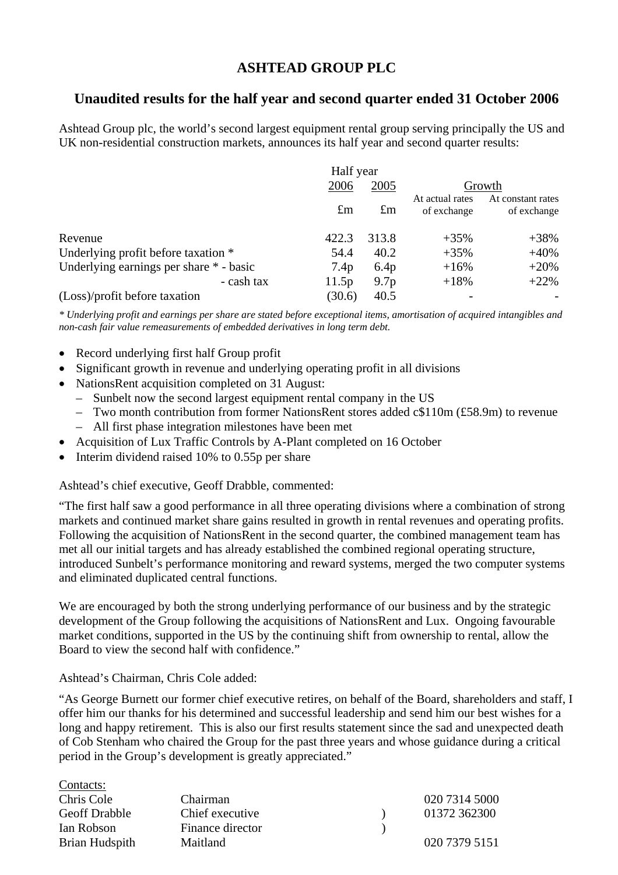# **ASHTEAD GROUP PLC**

## **Unaudited results for the half year and second quarter ended 31 October 2006**

Ashtead Group plc, the world's second largest equipment rental group serving principally the US and UK non-residential construction markets, announces its half year and second quarter results:

|                                         | Half year        |                  |                                |                                  |
|-----------------------------------------|------------------|------------------|--------------------------------|----------------------------------|
|                                         | 2006             | 2005             |                                | Growth                           |
|                                         | $\pounds$ m      | $\pounds$ m      | At actual rates<br>of exchange | At constant rates<br>of exchange |
| Revenue                                 | 422.3            | 313.8            | $+35\%$                        | $+38%$                           |
| Underlying profit before taxation *     | 54.4             | 40.2             | $+35%$                         | $+40%$                           |
| Underlying earnings per share * - basic | 7.4 <sub>p</sub> | 6.4 <sub>p</sub> | $+16%$                         | $+20%$                           |
| - cash tax                              | 11.5p            | 9.7 <sub>p</sub> | $+18%$                         | $+22%$                           |
| (Loss)/profit before taxation           | (30.6)           | 40.5             |                                |                                  |

*\* Underlying profit and earnings per share are stated before exceptional items, amortisation of acquired intangibles and non-cash fair value remeasurements of embedded derivatives in long term debt.* 

- Record underlying first half Group profit
- Significant growth in revenue and underlying operating profit in all divisions
- NationsRent acquisition completed on 31 August:
	- Sunbelt now the second largest equipment rental company in the US
	- Two month contribution from former NationsRent stores added c\$110m (£58.9m) to revenue
	- All first phase integration milestones have been met
- Acquisition of Lux Traffic Controls by A-Plant completed on 16 October
- Interim dividend raised 10% to 0.55p per share

Ashtead's chief executive, Geoff Drabble, commented:

"The first half saw a good performance in all three operating divisions where a combination of strong markets and continued market share gains resulted in growth in rental revenues and operating profits. Following the acquisition of NationsRent in the second quarter, the combined management team has met all our initial targets and has already established the combined regional operating structure, introduced Sunbelt's performance monitoring and reward systems, merged the two computer systems and eliminated duplicated central functions.

We are encouraged by both the strong underlying performance of our business and by the strategic development of the Group following the acquisitions of NationsRent and Lux. Ongoing favourable market conditions, supported in the US by the continuing shift from ownership to rental, allow the Board to view the second half with confidence."

#### Ashtead's Chairman, Chris Cole added:

 $C$ ontacts:

"As George Burnett our former chief executive retires, on behalf of the Board, shareholders and staff, I offer him our thanks for his determined and successful leadership and send him our best wishes for a long and happy retirement. This is also our first results statement since the sad and unexpected death of Cob Stenham who chaired the Group for the past three years and whose guidance during a critical period in the Group's development is greatly appreciated."

| COMACO.              |                  |               |
|----------------------|------------------|---------------|
| Chris Cole           | Chairman         | 020 7314 5000 |
| <b>Geoff Drabble</b> | Chief executive  | 01372 362300  |
| Ian Robson           | Finance director |               |
| Brian Hudspith       | Maitland         | 020 7379 5151 |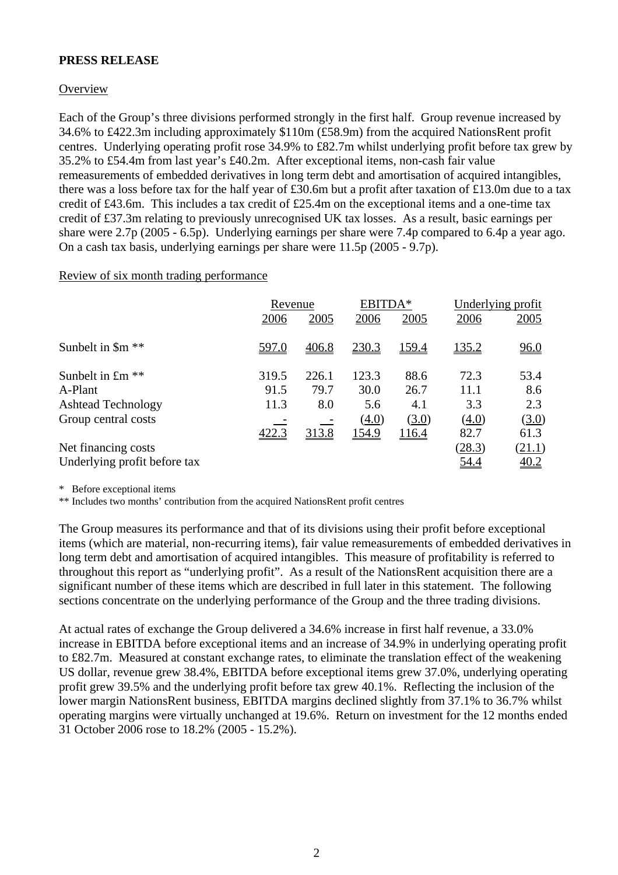## **PRESS RELEASE**

## **Overview**

Each of the Group's three divisions performed strongly in the first half. Group revenue increased by 34.6% to £422.3m including approximately \$110m (£58.9m) from the acquired NationsRent profit centres. Underlying operating profit rose 34.9% to £82.7m whilst underlying profit before tax grew by 35.2% to £54.4m from last year's £40.2m. After exceptional items, non-cash fair value remeasurements of embedded derivatives in long term debt and amortisation of acquired intangibles, there was a loss before tax for the half year of £30.6m but a profit after taxation of £13.0m due to a tax credit of £43.6m. This includes a tax credit of £25.4m on the exceptional items and a one-time tax credit of £37.3m relating to previously unrecognised UK tax losses. As a result, basic earnings per share were 2.7p (2005 - 6.5p). Underlying earnings per share were 7.4p compared to 6.4p a year ago. On a cash tax basis, underlying earnings per share were 11.5p (2005 - 9.7p).

#### Review of six month trading performance

|                              |       | Revenue |       | EBITDA*      |              | Underlying profit  |
|------------------------------|-------|---------|-------|--------------|--------------|--------------------|
|                              | 2006  | 2005    | 2006  | 2005         | 2006         | 2005               |
| Sunbelt in \$m <sup>**</sup> | 597.0 | 406.8   | 230.3 | 159.4        | <u>135.2</u> | 96.0               |
| Sunbelt in £m <sup>**</sup>  | 319.5 | 226.1   | 123.3 | 88.6         | 72.3         | 53.4               |
| A-Plant                      | 91.5  | 79.7    | 30.0  | 26.7         | 11.1         | 8.6                |
| <b>Ashtead Technology</b>    | 11.3  | 8.0     | 5.6   | 4.1          | 3.3          | 2.3                |
| Group central costs          |       |         | (4.0) | (3.0)        | (4.0)        | (3.0)              |
|                              | 422.3 | 313.8   | 154.9 | <u>116.4</u> | 82.7         | 61.3               |
| Net financing costs          |       |         |       |              | (28.3)       | <u>(21.1)</u>      |
| Underlying profit before tax |       |         |       |              | <u>54.4</u>  | $\underline{40.2}$ |

\* Before exceptional items

\*\* Includes two months' contribution from the acquired NationsRent profit centres

The Group measures its performance and that of its divisions using their profit before exceptional items (which are material, non-recurring items), fair value remeasurements of embedded derivatives in long term debt and amortisation of acquired intangibles. This measure of profitability is referred to throughout this report as "underlying profit". As a result of the NationsRent acquisition there are a significant number of these items which are described in full later in this statement. The following sections concentrate on the underlying performance of the Group and the three trading divisions.

At actual rates of exchange the Group delivered a 34.6% increase in first half revenue, a 33.0% increase in EBITDA before exceptional items and an increase of 34.9% in underlying operating profit to £82.7m. Measured at constant exchange rates, to eliminate the translation effect of the weakening US dollar, revenue grew 38.4%, EBITDA before exceptional items grew 37.0%, underlying operating profit grew 39.5% and the underlying profit before tax grew 40.1%. Reflecting the inclusion of the lower margin NationsRent business, EBITDA margins declined slightly from 37.1% to 36.7% whilst operating margins were virtually unchanged at 19.6%. Return on investment for the 12 months ended 31 October 2006 rose to 18.2% (2005 - 15.2%).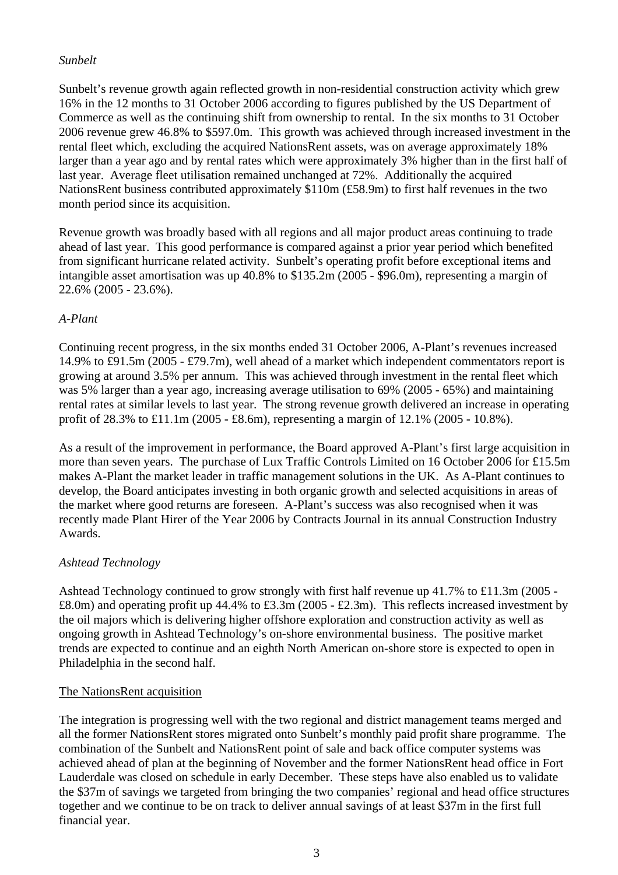## *Sunbelt*

Sunbelt's revenue growth again reflected growth in non-residential construction activity which grew 16% in the 12 months to 31 October 2006 according to figures published by the US Department of Commerce as well as the continuing shift from ownership to rental. In the six months to 31 October 2006 revenue grew 46.8% to \$597.0m. This growth was achieved through increased investment in the rental fleet which, excluding the acquired NationsRent assets, was on average approximately 18% larger than a year ago and by rental rates which were approximately 3% higher than in the first half of last year. Average fleet utilisation remained unchanged at 72%. Additionally the acquired NationsRent business contributed approximately \$110m (£58.9m) to first half revenues in the two month period since its acquisition.

Revenue growth was broadly based with all regions and all major product areas continuing to trade ahead of last year. This good performance is compared against a prior year period which benefited from significant hurricane related activity. Sunbelt's operating profit before exceptional items and intangible asset amortisation was up 40.8% to \$135.2m (2005 - \$96.0m), representing a margin of 22.6% (2005 - 23.6%).

## *A-Plant*

Continuing recent progress, in the six months ended 31 October 2006, A-Plant's revenues increased 14.9% to £91.5m (2005 - £79.7m), well ahead of a market which independent commentators report is growing at around 3.5% per annum. This was achieved through investment in the rental fleet which was 5% larger than a year ago, increasing average utilisation to 69% (2005 - 65%) and maintaining rental rates at similar levels to last year. The strong revenue growth delivered an increase in operating profit of 28.3% to £11.1m (2005 - £8.6m), representing a margin of 12.1% (2005 - 10.8%).

As a result of the improvement in performance, the Board approved A-Plant's first large acquisition in more than seven years. The purchase of Lux Traffic Controls Limited on 16 October 2006 for £15.5m makes A-Plant the market leader in traffic management solutions in the UK. As A-Plant continues to develop, the Board anticipates investing in both organic growth and selected acquisitions in areas of the market where good returns are foreseen. A-Plant's success was also recognised when it was recently made Plant Hirer of the Year 2006 by Contracts Journal in its annual Construction Industry Awards.

## *Ashtead Technology*

Ashtead Technology continued to grow strongly with first half revenue up 41.7% to £11.3m (2005 - £8.0m) and operating profit up 44.4% to £3.3m (2005 - £2.3m). This reflects increased investment by the oil majors which is delivering higher offshore exploration and construction activity as well as ongoing growth in Ashtead Technology's on-shore environmental business. The positive market trends are expected to continue and an eighth North American on-shore store is expected to open in Philadelphia in the second half.

## The NationsRent acquisition

The integration is progressing well with the two regional and district management teams merged and all the former NationsRent stores migrated onto Sunbelt's monthly paid profit share programme. The combination of the Sunbelt and NationsRent point of sale and back office computer systems was achieved ahead of plan at the beginning of November and the former NationsRent head office in Fort Lauderdale was closed on schedule in early December. These steps have also enabled us to validate the \$37m of savings we targeted from bringing the two companies' regional and head office structures together and we continue to be on track to deliver annual savings of at least \$37m in the first full financial year.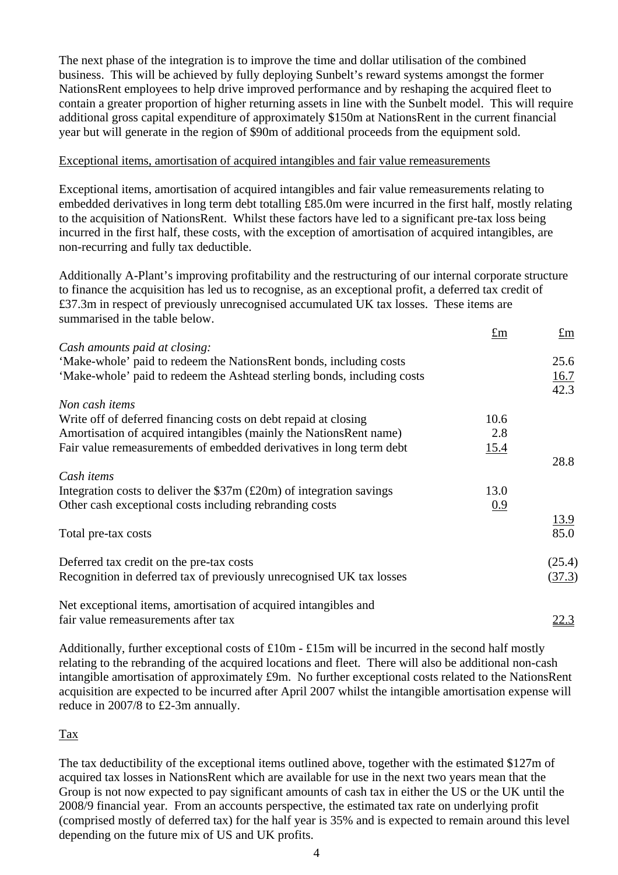The next phase of the integration is to improve the time and dollar utilisation of the combined business. This will be achieved by fully deploying Sunbelt's reward systems amongst the former NationsRent employees to help drive improved performance and by reshaping the acquired fleet to contain a greater proportion of higher returning assets in line with the Sunbelt model. This will require additional gross capital expenditure of approximately \$150m at NationsRent in the current financial year but will generate in the region of \$90m of additional proceeds from the equipment sold.

### Exceptional items, amortisation of acquired intangibles and fair value remeasurements

Exceptional items, amortisation of acquired intangibles and fair value remeasurements relating to embedded derivatives in long term debt totalling £85.0m were incurred in the first half, mostly relating to the acquisition of NationsRent. Whilst these factors have led to a significant pre-tax loss being incurred in the first half, these costs, with the exception of amortisation of acquired intangibles, are non-recurring and fully tax deductible.

Additionally A-Plant's improving profitability and the restructuring of our internal corporate structure to finance the acquisition has led us to recognise, as an exceptional profit, a deferred tax credit of £37.3m in respect of previously unrecognised accumulated UK tax losses. These items are summarised in the table below.

|                                                                              | $\pounds$ m | $\pounds$ m         |
|------------------------------------------------------------------------------|-------------|---------------------|
| Cash amounts paid at closing:                                                |             |                     |
| 'Make-whole' paid to redeem the NationsRent bonds, including costs           |             | 25.6                |
| 'Make-whole' paid to redeem the Ashtead sterling bonds, including costs      |             | $\frac{16.7}{42.3}$ |
|                                                                              |             |                     |
| Non cash items                                                               |             |                     |
| Write off of deferred financing costs on debt repaid at closing              | 10.6        |                     |
| Amortisation of acquired intangibles (mainly the NationsRent name)           | 2.8         |                     |
| Fair value remeasurements of embedded derivatives in long term debt          | 15.4        |                     |
|                                                                              |             | 28.8                |
| Cash <i>items</i>                                                            |             |                     |
| Integration costs to deliver the $$37m (\pounds 20m) of integration savings$ | 13.0        |                     |
| Other cash exceptional costs including rebranding costs                      | 0.9         |                     |
|                                                                              |             | <u>13.9</u>         |
| Total pre-tax costs                                                          |             | 85.0                |
|                                                                              |             |                     |
| Deferred tax credit on the pre-tax costs                                     |             | (25.4)              |
| Recognition in deferred tax of previously unrecognised UK tax losses         |             | (37.3)              |
|                                                                              |             |                     |
| fair value remeasurements after tax                                          |             | <u>22.3</u>         |
| Net exceptional items, amortisation of acquired intangibles and              |             |                     |

Additionally, further exceptional costs of £10m - £15m will be incurred in the second half mostly relating to the rebranding of the acquired locations and fleet. There will also be additional non-cash intangible amortisation of approximately £9m. No further exceptional costs related to the NationsRent acquisition are expected to be incurred after April 2007 whilst the intangible amortisation expense will reduce in 2007/8 to £2-3m annually.

#### Tax

The tax deductibility of the exceptional items outlined above, together with the estimated \$127m of acquired tax losses in NationsRent which are available for use in the next two years mean that the Group is not now expected to pay significant amounts of cash tax in either the US or the UK until the 2008/9 financial year. From an accounts perspective, the estimated tax rate on underlying profit (comprised mostly of deferred tax) for the half year is 35% and is expected to remain around this level depending on the future mix of US and UK profits.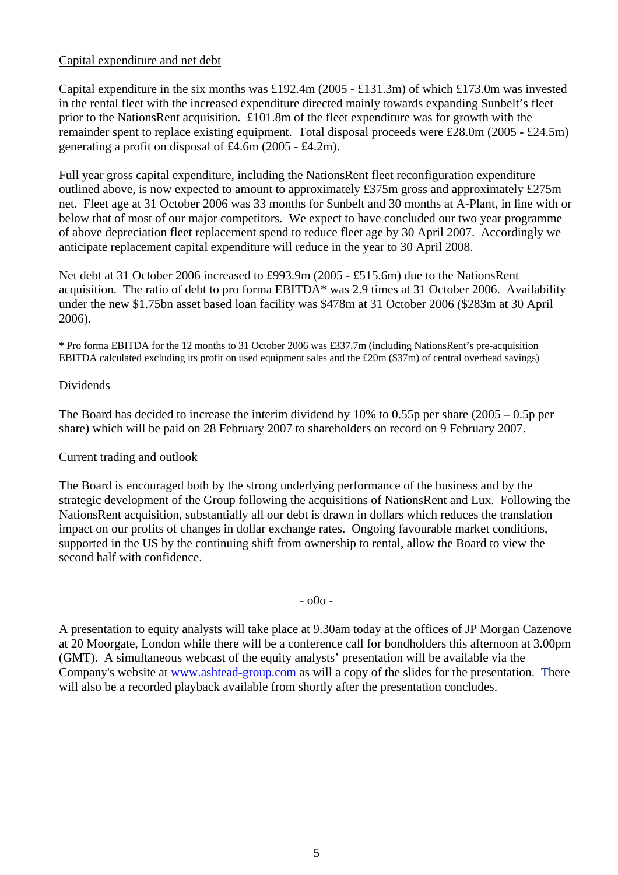## Capital expenditure and net debt

Capital expenditure in the six months was £192.4m (2005 - £131.3m) of which £173.0m was invested in the rental fleet with the increased expenditure directed mainly towards expanding Sunbelt's fleet prior to the NationsRent acquisition. £101.8m of the fleet expenditure was for growth with the remainder spent to replace existing equipment. Total disposal proceeds were £28.0m (2005 - £24.5m) generating a profit on disposal of £4.6m (2005 - £4.2m).

Full year gross capital expenditure, including the NationsRent fleet reconfiguration expenditure outlined above, is now expected to amount to approximately £375m gross and approximately £275m net. Fleet age at 31 October 2006 was 33 months for Sunbelt and 30 months at A-Plant, in line with or below that of most of our major competitors. We expect to have concluded our two year programme of above depreciation fleet replacement spend to reduce fleet age by 30 April 2007. Accordingly we anticipate replacement capital expenditure will reduce in the year to 30 April 2008.

Net debt at 31 October 2006 increased to £993.9m (2005 - £515.6m) due to the NationsRent acquisition. The ratio of debt to pro forma EBITDA\* was 2.9 times at 31 October 2006. Availability under the new \$1.75bn asset based loan facility was \$478m at 31 October 2006 (\$283m at 30 April 2006).

\* Pro forma EBITDA for the 12 months to 31 October 2006 was £337.7m (including NationsRent's pre-acquisition EBITDA calculated excluding its profit on used equipment sales and the £20m (\$37m) of central overhead savings)

#### Dividends

The Board has decided to increase the interim dividend by 10% to 0.55p per share (2005 – 0.5p per share) which will be paid on 28 February 2007 to shareholders on record on 9 February 2007.

## Current trading and outlook

The Board is encouraged both by the strong underlying performance of the business and by the strategic development of the Group following the acquisitions of NationsRent and Lux. Following the NationsRent acquisition, substantially all our debt is drawn in dollars which reduces the translation impact on our profits of changes in dollar exchange rates. Ongoing favourable market conditions, supported in the US by the continuing shift from ownership to rental, allow the Board to view the second half with confidence.

- o0o -

A presentation to equity analysts will take place at 9.30am today at the offices of JP Morgan Cazenove at 20 Moorgate, London while there will be a conference call for bondholders this afternoon at 3.00pm (GMT). A simultaneous webcast of the equity analysts' presentation will be available via the Company's website at [www.ashtead-group.com](http://www.ashtead-group.com/) as will a copy of the slides for the presentation. There will also be a recorded playback available from shortly after the presentation concludes.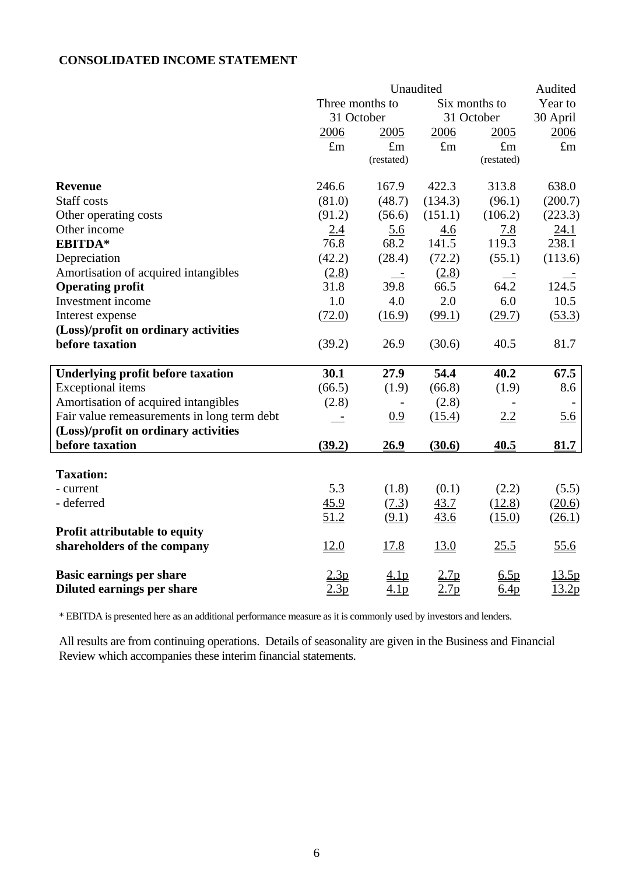## **CONSOLIDATED INCOME STATEMENT**

|                                             | Unaudited        |                   |                  |                  |             |  |
|---------------------------------------------|------------------|-------------------|------------------|------------------|-------------|--|
|                                             | Three months to  |                   | Six months to    | Year to          |             |  |
|                                             | 31 October       |                   |                  | 31 October       | 30 April    |  |
|                                             | 2006             | 2005              | 2006             | 2005             | 2006        |  |
|                                             | $\pounds$ m      | $\pounds$ m       | $\pounds$ m      | $\pounds$ m      | $\pounds$ m |  |
|                                             |                  | (restated)        |                  | (restated)       |             |  |
| <b>Revenue</b>                              | 246.6            | 167.9             | 422.3            | 313.8            | 638.0       |  |
| <b>Staff</b> costs                          | (81.0)           | (48.7)            | (134.3)          | (96.1)           | (200.7)     |  |
| Other operating costs                       | (91.2)           | (56.6)            | (151.1)          | (106.2)          | (223.3)     |  |
| Other income                                | 2.4              | $\underline{5.6}$ | 4.6              | <u>7.8</u>       | 24.1        |  |
| EBITDA*                                     | 76.8             | 68.2              | 141.5            | 119.3            | 238.1       |  |
| Depreciation                                | (42.2)           | (28.4)            | (72.2)           | (55.1)           | (113.6)     |  |
| Amortisation of acquired intangibles        | (2.8)            |                   | (2.8)            |                  |             |  |
| <b>Operating profit</b>                     | 31.8             | 39.8              | 66.5             | 64.2             | 124.5       |  |
| Investment income                           | 1.0              | 4.0               | 2.0              | 6.0              | 10.5        |  |
| Interest expense                            | (72.0)           | (16.9)            | (99.1)           | (29.7)           | (53.3)      |  |
| (Loss)/profit on ordinary activities        |                  |                   |                  |                  |             |  |
| before taxation                             | (39.2)           | 26.9              | (30.6)           | 40.5             | 81.7        |  |
| <b>Underlying profit before taxation</b>    | 30.1             | 27.9              | 54.4             | 40.2             | 67.5        |  |
| <b>Exceptional</b> items                    | (66.5)           | (1.9)             | (66.8)           | (1.9)            | 8.6         |  |
| Amortisation of acquired intangibles        | (2.8)            |                   | (2.8)            |                  |             |  |
| Fair value remeasurements in long term debt |                  | 0.9               | (15.4)           | 2.2              | 5.6         |  |
| (Loss)/profit on ordinary activities        |                  |                   |                  |                  |             |  |
| before taxation                             | (39.2)           | <u>26.9</u>       | (30.6)           | 40.5             | 81.7        |  |
| <b>Taxation:</b>                            |                  |                   |                  |                  |             |  |
| - current                                   | 5.3              | (1.8)             | (0.1)            | (2.2)            | (5.5)       |  |
| - deferred                                  | 45.9             | (7.3)             | 43.7             | (12.8)           | (20.6)      |  |
|                                             | 51.2             | (9.1)             | 43.6             | (15.0)           | (26.1)      |  |
| Profit attributable to equity               |                  |                   |                  |                  |             |  |
| shareholders of the company                 | 12.0             | 17.8              | 13.0             | 25.5             | 55.6        |  |
| <b>Basic earnings per share</b>             | 2.3p             | 4.1 <sub>p</sub>  | 2.7p             | 6.5p             | 13.5p       |  |
| Diluted earnings per share                  | 2.3 <sub>p</sub> | 4.1 <sub>p</sub>  | 2.7 <sub>p</sub> | 6.4 <sub>p</sub> | 13.2p       |  |

\* EBITDA is presented here as an additional performance measure as it is commonly used by investors and lenders.

All results are from continuing operations. Details of seasonality are given in the Business and Financial Review which accompanies these interim financial statements.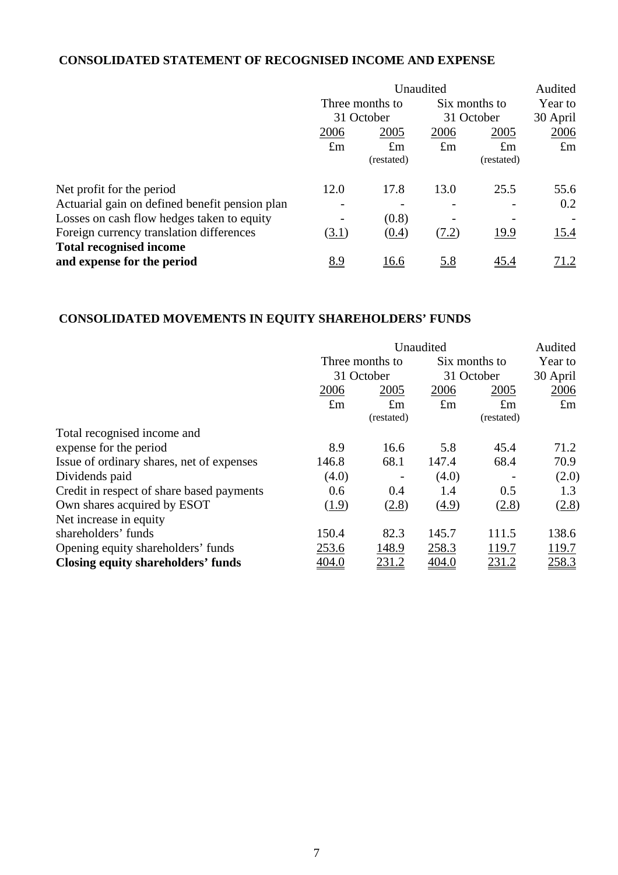## **CONSOLIDATED STATEMENT OF RECOGNISED INCOME AND EXPENSE**

|                                                | Unaudited                     |             |             |               | Audited     |  |
|------------------------------------------------|-------------------------------|-------------|-------------|---------------|-------------|--|
|                                                | Three months to<br>31 October |             |             | Six months to |             |  |
|                                                |                               |             | 31 October  |               | 30 April    |  |
|                                                | 2006                          | 2005        | 2006        | 2005          | 2006        |  |
|                                                | $\pounds$ m                   | $\pounds$ m | $\pounds$ m | $\pounds$ m   | $\pounds$ m |  |
|                                                |                               | (restated)  |             | (restated)    |             |  |
| Net profit for the period                      | 12.0                          | 17.8        | 13.0        | 25.5          | 55.6        |  |
| Actuarial gain on defined benefit pension plan |                               |             |             |               | 0.2         |  |
| Losses on cash flow hedges taken to equity     |                               | (0.8)       |             |               |             |  |
| Foreign currency translation differences       | (3.1)                         | (0.4)       | (7.2)       | 19.9          | 15.4        |  |
| <b>Total recognised income</b>                 |                               |             |             |               |             |  |
| and expense for the period                     | <u>8.9</u>                    | <u>16.6</u> | <u>5.8</u>  | <u>45.4</u>   | 71.2        |  |

# **CONSOLIDATED MOVEMENTS IN EQUITY SHAREHOLDERS' FUNDS**

|                                           | Unaudited       |             |             |               | Audited     |  |
|-------------------------------------------|-----------------|-------------|-------------|---------------|-------------|--|
|                                           | Three months to |             |             | Six months to |             |  |
|                                           |                 | 31 October  | 31 October  |               | 30 April    |  |
|                                           | 2006            | 2005        | 2006        | 2005          | 2006        |  |
|                                           | $\pounds$ m     | $\pounds$ m | $\pounds$ m | $\pounds$ m   | $\pounds$ m |  |
|                                           |                 | (restated)  |             | (restated)    |             |  |
| Total recognised income and               |                 |             |             |               |             |  |
| expense for the period                    | 8.9             | 16.6        | 5.8         | 45.4          | 71.2        |  |
| Issue of ordinary shares, net of expenses | 146.8           | 68.1        | 147.4       | 68.4          | 70.9        |  |
| Dividends paid                            | (4.0)           |             | (4.0)       |               | (2.0)       |  |
| Credit in respect of share based payments | 0.6             | 0.4         | 1.4         | 0.5           | 1.3         |  |
| Own shares acquired by ESOT               | (1.9)           | (2.8)       | (4.9)       | (2.8)         | (2.8)       |  |
| Net increase in equity                    |                 |             |             |               |             |  |
| shareholders' funds                       | 150.4           | 82.3        | 145.7       | 111.5         | 138.6       |  |
| Opening equity shareholders' funds        | 253.6           | 148.9       | 258.3       | 119.7         | 119.7       |  |
| Closing equity shareholders' funds        | <u>404.0</u>    | 231.2       | 404.0       | <u>231.2</u>  | 258.3       |  |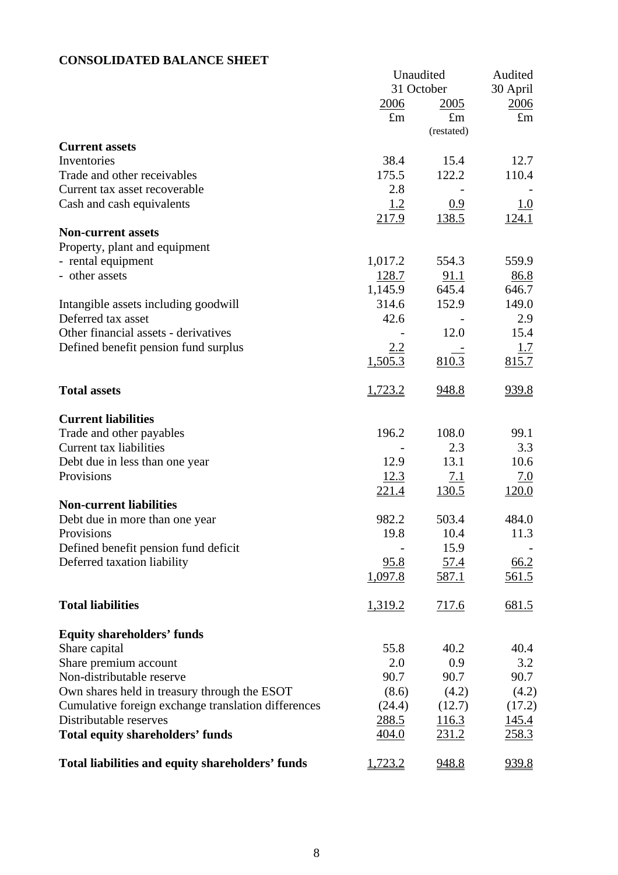# **CONSOLIDATED BALANCE SHEET**

|                                                     | Unaudited    | Audited      |              |
|-----------------------------------------------------|--------------|--------------|--------------|
|                                                     |              | 31 October   | 30 April     |
|                                                     | <u>2006</u>  | 2005         | 2006         |
|                                                     | $\pounds$ m  | $\pounds$ m  | $\pounds$ m  |
|                                                     |              | (restated)   |              |
| <b>Current assets</b>                               |              |              |              |
| Inventories                                         | 38.4         | 15.4         | 12.7         |
| Trade and other receivables                         | 175.5        | 122.2        | 110.4        |
| Current tax asset recoverable                       | 2.8          |              |              |
| Cash and cash equivalents                           | <u>1.2</u>   | 0.9          | 1.0          |
|                                                     | 217.9        | <u>138.5</u> | 124.1        |
| <b>Non-current assets</b>                           |              |              |              |
| Property, plant and equipment                       |              |              |              |
| - rental equipment                                  | 1,017.2      | 554.3        | 559.9        |
| - other assets                                      | 128.7        | 91.1         | <u>86.8</u>  |
|                                                     | 1,145.9      | 645.4        | 646.7        |
| Intangible assets including goodwill                | 314.6        | 152.9        | 149.0        |
| Deferred tax asset                                  | 42.6         |              | 2.9          |
| Other financial assets - derivatives                |              | 12.0         | 15.4         |
| Defined benefit pension fund surplus                | 2.2          |              | <u>1.7</u>   |
|                                                     | 1,505.3      | 810.3        | 815.7        |
|                                                     |              |              |              |
| <b>Total assets</b>                                 | 1,723.2      | 948.8        | 939.8        |
|                                                     |              |              |              |
| <b>Current liabilities</b>                          |              |              |              |
| Trade and other payables                            | 196.2        | 108.0        | 99.1         |
| Current tax liabilities                             |              | 2.3          | 3.3          |
| Debt due in less than one year                      | 12.9         | 13.1         | 10.6         |
| Provisions                                          | 12.3         | <u>7.1</u>   | <u>7.0</u>   |
|                                                     | <u>221.4</u> | <u>130.5</u> | <u>120.0</u> |
| <b>Non-current liabilities</b>                      |              |              |              |
| Debt due in more than one year                      | 982.2        | 503.4        | 484.0        |
| Provisions                                          | 19.8         | 10.4         | 11.3         |
| Defined benefit pension fund deficit                |              | 15.9         |              |
| Deferred taxation liability                         | 95.8         | <u>57.4</u>  | 66.2         |
|                                                     | 1,097.8      | 587.1        | 561.5        |
|                                                     |              |              |              |
| <b>Total liabilities</b>                            | 1,319.2      | 717.6        | 681.5        |
|                                                     |              |              |              |
| <b>Equity shareholders' funds</b>                   |              |              |              |
| Share capital                                       | 55.8         | 40.2         | 40.4         |
| Share premium account                               | 2.0          | 0.9          | 3.2          |
| Non-distributable reserve                           | 90.7         | 90.7         | 90.7         |
| Own shares held in treasury through the ESOT        | (8.6)        | (4.2)        | (4.2)        |
| Cumulative foreign exchange translation differences | (24.4)       | (12.7)       | (17.2)       |
| Distributable reserves                              | 288.5        | 116.3        | 145.4        |
| <b>Total equity shareholders' funds</b>             | 404.0        | <u>231.2</u> | <u>258.3</u> |
|                                                     |              |              |              |
| Total liabilities and equity shareholders' funds    | 1,723.2      | 948.8        | 939.8        |
|                                                     |              |              |              |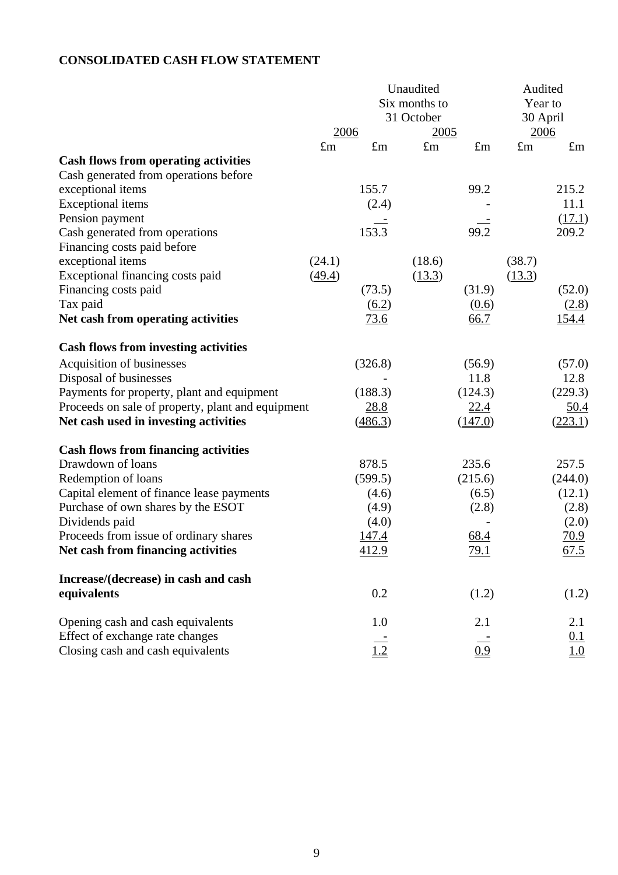# **CONSOLIDATED CASH FLOW STATEMENT**

|                                                   |             | Unaudited           |               | Audited     |             |                               |
|---------------------------------------------------|-------------|---------------------|---------------|-------------|-------------|-------------------------------|
|                                                   |             |                     | Six months to |             | Year to     |                               |
|                                                   |             |                     | 31 October    |             | 30 April    |                               |
|                                                   | 2006        |                     | 2005          |             | 2006        |                               |
|                                                   | $\pounds$ m | $\pounds$ m         | $\pounds$ m   | $\pounds$ m | $\pounds$ m | $\pounds$ m                   |
| <b>Cash flows from operating activities</b>       |             |                     |               |             |             |                               |
| Cash generated from operations before             |             |                     |               |             |             |                               |
| exceptional items                                 |             | 155.7               |               | 99.2        |             | 215.2                         |
| <b>Exceptional items</b>                          |             | (2.4)               |               |             |             | 11.1                          |
| Pension payment                                   |             |                     |               |             |             | (17.1)                        |
| Cash generated from operations                    |             | 153.3               |               | 99.2        |             | 209.2                         |
| Financing costs paid before                       |             |                     |               |             |             |                               |
| exceptional items                                 | (24.1)      |                     | (18.6)        |             | (38.7)      |                               |
| Exceptional financing costs paid                  | (49.4)      |                     | (13.3)        |             | (13.3)      |                               |
| Financing costs paid                              |             | (73.5)              |               | (31.9)      |             | (52.0)                        |
| Tax paid                                          |             | $\underline{(6.2)}$ |               | (0.6)       |             | (2.8)                         |
| Net cash from operating activities                |             | 73.6                |               | 66.7        |             | <u>154.4</u>                  |
|                                                   |             |                     |               |             |             |                               |
| <b>Cash flows from investing activities</b>       |             |                     |               |             |             |                               |
| Acquisition of businesses                         |             | (326.8)             |               | (56.9)      |             | (57.0)                        |
| Disposal of businesses                            |             |                     |               | 11.8        |             | 12.8                          |
| Payments for property, plant and equipment        |             | (188.3)             |               | (124.3)     |             | (229.3)                       |
| Proceeds on sale of property, plant and equipment |             | <u>28.8</u>         |               | 22.4        |             | <u>50.4</u>                   |
| Net cash used in investing activities             |             | (486.3)             |               | (147.0)     |             | (223.1)                       |
| <b>Cash flows from financing activities</b>       |             |                     |               |             |             |                               |
| Drawdown of loans                                 |             | 878.5               |               | 235.6       |             | 257.5                         |
| Redemption of loans                               |             | (599.5)             |               | (215.6)     |             | (244.0)                       |
| Capital element of finance lease payments         |             | (4.6)               |               | (6.5)       |             | (12.1)                        |
| Purchase of own shares by the ESOT                |             | (4.9)               |               | (2.8)       |             | (2.8)                         |
| Dividends paid                                    |             | (4.0)               |               |             |             | (2.0)                         |
| Proceeds from issue of ordinary shares            |             | <u>147.4</u>        |               | 68.4        |             | 70.9                          |
| Net cash from financing activities                |             | 412.9               |               | 79.1        |             | 67.5                          |
|                                                   |             |                     |               |             |             |                               |
| Increase/(decrease) in cash and cash              |             |                     |               |             |             |                               |
| equivalents                                       |             | 0.2                 |               | (1.2)       |             | (1.2)                         |
| Opening cash and cash equivalents                 |             | 1.0                 |               | 2.1         |             | 2.1                           |
| Effect of exchange rate changes                   |             |                     |               |             |             | 0.1                           |
| Closing cash and cash equivalents                 |             | 1.2                 |               | 0.9         |             | $\underline{1.\underline{0}}$ |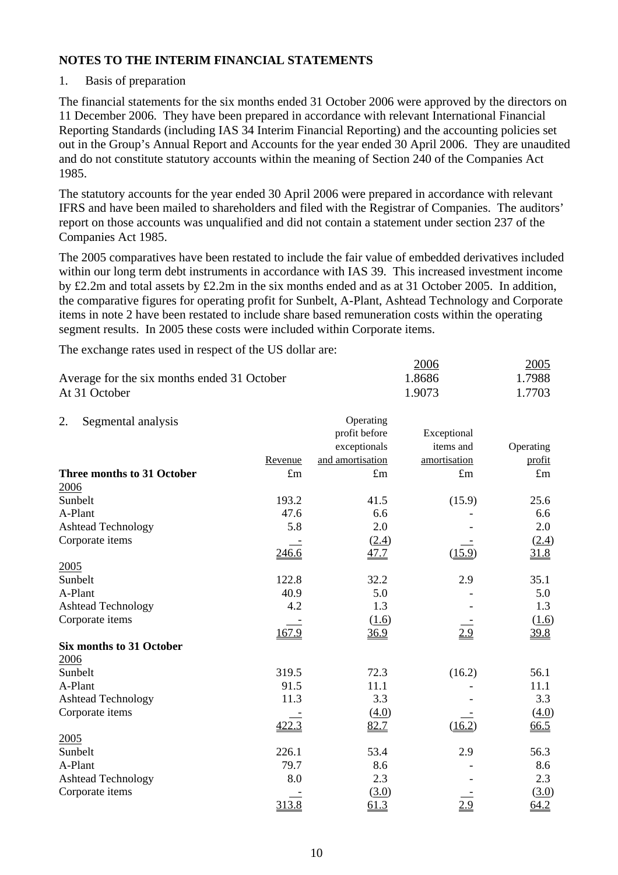#### 1. Basis of preparation

The financial statements for the six months ended 31 October 2006 were approved by the directors on 11 December 2006. They have been prepared in accordance with relevant International Financial Reporting Standards (including IAS 34 Interim Financial Reporting) and the accounting policies set out in the Group's Annual Report and Accounts for the year ended 30 April 2006. They are unaudited and do not constitute statutory accounts within the meaning of Section 240 of the Companies Act 1985.

The statutory accounts for the year ended 30 April 2006 were prepared in accordance with relevant IFRS and have been mailed to shareholders and filed with the Registrar of Companies. The auditors' report on those accounts was unqualified and did not contain a statement under section 237 of the Companies Act 1985.

The 2005 comparatives have been restated to include the fair value of embedded derivatives included within our long term debt instruments in accordance with IAS 39. This increased investment income by £2.2m and total assets by £2.2m in the six months ended and as at 31 October 2005. In addition, the comparative figures for operating profit for Sunbelt, A-Plant, Ashtead Technology and Corporate items in note 2 have been restated to include share based remuneration costs within the operating segment results. In 2005 these costs were included within Corporate items.

The exchange rates used in respect of the US dollar are:

|                                             | 2006   | <u>2005</u> |
|---------------------------------------------|--------|-------------|
| Average for the six months ended 31 October | 1.8686 | 1.7988      |
| At 31 October                               | 1.9073 | 1.7703      |

| Segmental analysis<br>2.        |             | Operating        |              |             |
|---------------------------------|-------------|------------------|--------------|-------------|
|                                 |             | profit before    | Exceptional  |             |
|                                 |             | exceptionals     | items and    | Operating   |
|                                 | Revenue     | and amortisation | amortisation | profit      |
| Three months to 31 October      | $\pounds$ m | $\pounds$ m      | $\pounds$ m  | $\pounds$ m |
| 2006                            |             |                  |              |             |
| Sunbelt                         | 193.2       | 41.5             | (15.9)       | 25.6        |
| A-Plant                         | 47.6        | 6.6              |              | 6.6         |
| <b>Ashtead Technology</b>       | 5.8         | 2.0              |              | 2.0         |
| Corporate items                 |             | (2.4)            |              | (2.4)       |
|                                 | 246.6       | 47.7             | (15.9)       | 31.8        |
| 2005                            |             |                  |              |             |
| Sunbelt                         | 122.8       | 32.2             | 2.9          | 35.1        |
| A-Plant                         | 40.9        | 5.0              |              | 5.0         |
| <b>Ashtead Technology</b>       | 4.2         | 1.3              |              | 1.3         |
| Corporate items                 |             | (1.6)            |              | (1.6)       |
|                                 | 167.9       | 36.9             | 2.9          | 39.8        |
| <b>Six months to 31 October</b> |             |                  |              |             |
| 2006                            |             |                  |              |             |
| Sunbelt                         | 319.5       | 72.3             | (16.2)       | 56.1        |
| A-Plant                         | 91.5        | 11.1             |              | 11.1        |
| <b>Ashtead Technology</b>       | 11.3        | 3.3              |              | 3.3         |
| Corporate items                 |             | (4.0)            |              | (4.0)       |
|                                 | 422.3       | 82.7             | (16.2)       | 66.5        |
| 2005                            |             |                  |              |             |
| Sunbelt                         | 226.1       | 53.4             | 2.9          | 56.3        |
| A-Plant                         | 79.7        | 8.6              |              | 8.6         |
| <b>Ashtead Technology</b>       | 8.0         | 2.3              |              | 2.3         |
| Corporate items                 |             | (3.0)            |              | (3.0)       |
|                                 | 313.8       | 61.3             | 2.9          | 64.2        |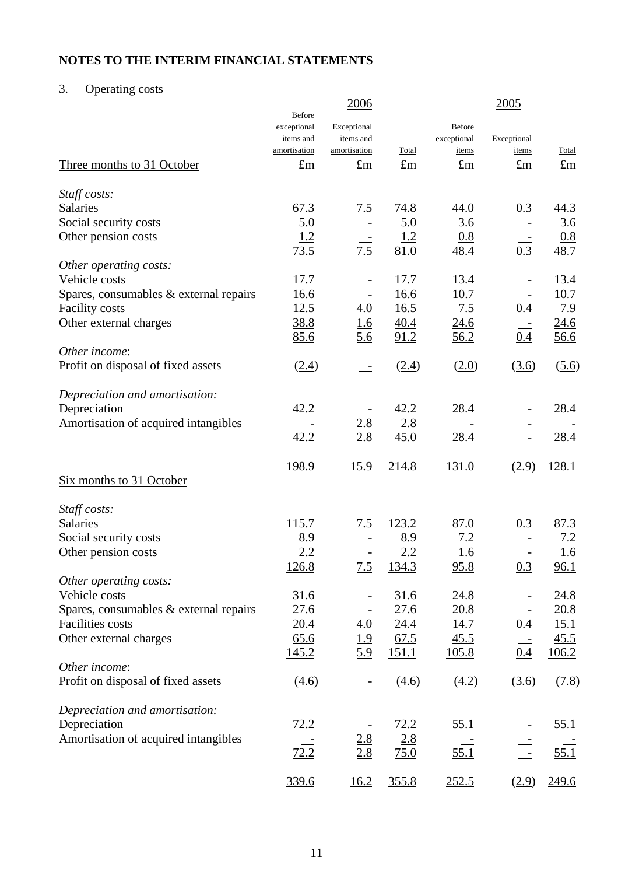# 3. Operating costs

|                                          | Before                                   | 2006                                     |             |                                       | 2005                 |             |
|------------------------------------------|------------------------------------------|------------------------------------------|-------------|---------------------------------------|----------------------|-------------|
|                                          | exceptional<br>items and<br>amortisation | Exceptional<br>items and<br>amortisation | Total       | <b>Before</b><br>exceptional<br>items | Exceptional<br>items | Total       |
| Three months to 31 October               | $\pounds$ m                              | $\pounds$ m                              | $\pounds m$ | $\pounds$ m                           | $\pounds$ m          | $\pounds$ m |
| Staff costs:                             |                                          |                                          |             |                                       |                      |             |
| <b>Salaries</b>                          | 67.3                                     | 7.5                                      | 74.8        | 44.0                                  | 0.3                  | 44.3        |
| Social security costs                    | 5.0                                      |                                          | 5.0         | 3.6                                   |                      | 3.6         |
| Other pension costs                      | 1.2                                      |                                          | <u>1.2</u>  | 0.8                                   |                      | 0.8         |
|                                          | 73.5                                     | 7.5                                      | 81.0        | 48.4                                  | 0.3                  | 48.7        |
| Other operating costs:                   |                                          |                                          |             |                                       |                      |             |
| Vehicle costs                            | 17.7                                     |                                          | 17.7        | 13.4                                  |                      | 13.4        |
| Spares, consumables & external repairs   | 16.6                                     | $\overline{\phantom{a}}$                 | 16.6        | 10.7                                  |                      | 10.7        |
| <b>Facility costs</b>                    | 12.5                                     | 4.0                                      | 16.5        | 7.5                                   | 0.4                  | 7.9         |
| Other external charges                   | 38.8                                     | <u>1.6</u>                               | 40.4        | 24.6                                  |                      | 24.6        |
|                                          | 85.6                                     | <u>5.6</u>                               | 91.2        | 56.2                                  | 0.4                  | 56.6        |
| Other income:                            |                                          |                                          |             |                                       |                      |             |
| Profit on disposal of fixed assets       | (2.4)                                    |                                          | (2.4)       | (2.0)                                 | (3.6)                | (5.6)       |
| Depreciation and amortisation:           |                                          |                                          |             |                                       |                      |             |
| Depreciation                             | 42.2                                     |                                          | 42.2        | 28.4                                  |                      | 28.4        |
| Amortisation of acquired intangibles     |                                          | $\frac{2.8}{2.8}$                        | 2.8         |                                       |                      |             |
|                                          | 42.2                                     |                                          | 45.0        | 28.4                                  | $\pm$                | 28.4        |
|                                          | 198.9                                    | 15.9                                     | 214.8       | 131.0                                 | (2.9)                | 128.1       |
| Six months to 31 October                 |                                          |                                          |             |                                       |                      |             |
| Staff costs:                             |                                          |                                          |             |                                       |                      |             |
| <b>Salaries</b>                          | 115.7                                    | 7.5                                      | 123.2       | 87.0                                  | 0.3                  | 87.3        |
| Social security costs                    | 8.9                                      |                                          | 8.9         | 7.2                                   |                      | 7.2         |
| Other pension costs                      | 2.2                                      |                                          | 2.2         | <u>1.6</u>                            |                      | 1.6         |
|                                          | 126.8                                    | 7.5                                      | 134.3       | 95.8                                  | 0.3                  | 96.1        |
| Other operating costs:                   |                                          |                                          |             |                                       |                      |             |
| Vehicle costs                            | 31.6                                     |                                          | 31.6        | 24.8                                  |                      | 24.8        |
| Spares, consumables $&$ external repairs | 27.6                                     |                                          | 27.6        | 20.8                                  |                      | 20.8        |
| Facilities costs                         | 20.4                                     | 4.0                                      | 24.4        | 14.7                                  | 0.4                  | 15.1        |
| Other external charges                   | 65.6                                     | <u>1.9</u>                               | 67.5        | 45.5                                  |                      | 45.5        |
|                                          | <u>145.2</u>                             | <u>5.9</u>                               | 151.1       | <u>105.8</u>                          | 0.4                  | 106.2       |
| Other income:                            |                                          |                                          |             |                                       |                      |             |
| Profit on disposal of fixed assets       | (4.6)                                    |                                          | (4.6)       | (4.2)                                 | (3.6)                | (7.8)       |
| Depreciation and amortisation:           |                                          |                                          |             |                                       |                      |             |
| Depreciation                             | 72.2                                     |                                          | 72.2        | 55.1                                  |                      | 55.1        |
| Amortisation of acquired intangibles     |                                          | $\frac{2.8}{2.8}$                        | 2.8         |                                       |                      |             |
|                                          | 72.2                                     |                                          | 75.0        | 55.1                                  | $\pm$                | 55.1        |
|                                          | 339.6                                    | 16.2                                     | 355.8       | 252.5                                 | (2.9)                | 249.6       |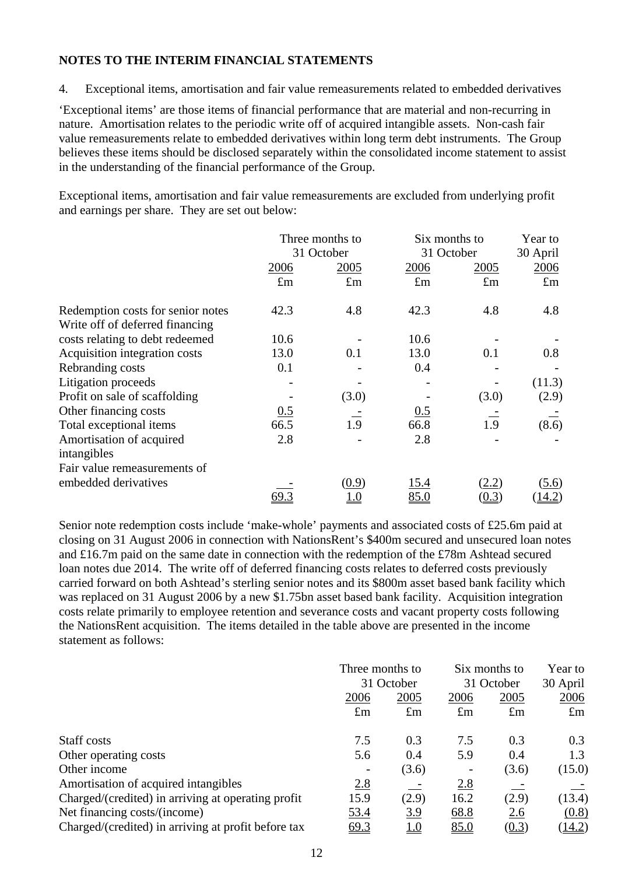4. Exceptional items, amortisation and fair value remeasurements related to embedded derivatives

'Exceptional items' are those items of financial performance that are material and non-recurring in nature. Amortisation relates to the periodic write off of acquired intangible assets. Non-cash fair value remeasurements relate to embedded derivatives within long term debt instruments. The Group believes these items should be disclosed separately within the consolidated income statement to assist in the understanding of the financial performance of the Group.

Exceptional items, amortisation and fair value remeasurements are excluded from underlying profit and earnings per share. They are set out below:

|                                   |             | Three months to          |             | Six months to |               |  |
|-----------------------------------|-------------|--------------------------|-------------|---------------|---------------|--|
|                                   |             | 31 October<br>31 October |             |               | 30 April      |  |
|                                   | 2006        | 2005                     | 2006        | 2005          | 2006          |  |
|                                   | $\pounds$ m | $\pounds$ m              | $\pounds$ m | $\pounds$ m   | $\pounds$ m   |  |
| Redemption costs for senior notes | 42.3        | 4.8                      | 42.3        | 4.8           | 4.8           |  |
| Write off of deferred financing   |             |                          |             |               |               |  |
| costs relating to debt redeemed   | 10.6        |                          | 10.6        |               |               |  |
| Acquisition integration costs     | 13.0        | 0.1                      | 13.0        | 0.1           | 0.8           |  |
| Rebranding costs                  | 0.1         |                          | 0.4         |               |               |  |
| Litigation proceeds               |             |                          |             |               | (11.3)        |  |
| Profit on sale of scaffolding     |             | (3.0)                    |             | (3.0)         | (2.9)         |  |
| Other financing costs             | 0.5         |                          | 0.5         |               |               |  |
| Total exceptional items           | 66.5        | 1.9                      | 66.8        | 1.9           | (8.6)         |  |
| Amortisation of acquired          | 2.8         |                          | 2.8         |               |               |  |
| intangibles                       |             |                          |             |               |               |  |
| Fair value remeasurements of      |             |                          |             |               |               |  |
| embedded derivatives              |             | (0.9)                    | 15.4        | (2.2)         | (5.6)         |  |
|                                   |             |                          | 85.0        | (0.3)         | <u>14.2</u> ) |  |

Senior note redemption costs include 'make-whole' payments and associated costs of £25.6m paid at closing on 31 August 2006 in connection with NationsRent's \$400m secured and unsecured loan notes and £16.7m paid on the same date in connection with the redemption of the £78m Ashtead secured loan notes due 2014. The write off of deferred financing costs relates to deferred costs previously carried forward on both Ashtead's sterling senior notes and its \$800m asset based bank facility which was replaced on 31 August 2006 by a new \$1.75bn asset based bank facility. Acquisition integration costs relate primarily to employee retention and severance costs and vacant property costs following the NationsRent acquisition. The items detailed in the table above are presented in the income statement as follows:

|                                                     | Three months to<br>31 October |             | Six months to<br>31 October |             | Year to<br>30 April |
|-----------------------------------------------------|-------------------------------|-------------|-----------------------------|-------------|---------------------|
|                                                     | 2006                          | 2005        | 2006                        | 2005        | 2006                |
|                                                     | $\pounds$ m                   | $\pounds$ m | $\pounds$ m                 | $\pounds$ m | $\pounds$ m         |
| Staff costs                                         | 7.5                           | 0.3         | 7.5                         | 0.3         | 0.3                 |
| Other operating costs                               | 5.6                           | 0.4         | 5.9                         | 0.4         | 1.3                 |
| Other income                                        |                               | (3.6)       | $\overline{\phantom{a}}$    | (3.6)       | (15.0)              |
| Amortisation of acquired intangibles                | 2.8                           |             | 2.8                         |             |                     |
| Charged/(credited) in arriving at operating profit  | 15.9                          | (2.9)       | 16.2                        | (2.9)       | (13.4)              |
| Net financing costs/(income)                        | <u>53.4</u>                   | <u>3.9</u>  | 68.8                        | 2.6         | (0.8)               |
| Charged/(credited) in arriving at profit before tax | 69.3                          | <u>1.0</u>  | 85.0                        | (0.3)       | (14.2)              |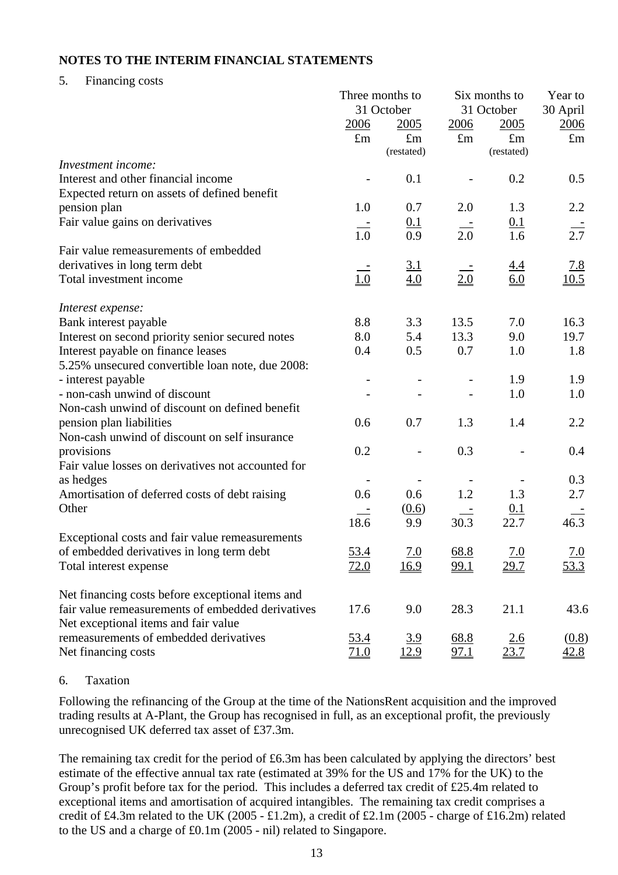#### 5. Financing costs

|                                                    | Three months to   |                              |                          | Six months to     |                    |  |
|----------------------------------------------------|-------------------|------------------------------|--------------------------|-------------------|--------------------|--|
|                                                    |                   | 31 October                   |                          | 31 October        |                    |  |
|                                                    | 2006              | 2005                         | 2006                     | 2005              | <u>2006</u>        |  |
|                                                    | $\pounds$ m       | $\pounds$ m                  | $\pounds$ m              | $\pounds$ m       | $\pounds$ m        |  |
|                                                    |                   | (restated)                   |                          | (restated)        |                    |  |
| Investment income:                                 |                   |                              |                          |                   |                    |  |
| Interest and other financial income                |                   | 0.1                          |                          | 0.2               | 0.5                |  |
| Expected return on assets of defined benefit       |                   |                              |                          |                   |                    |  |
| pension plan                                       | 1.0               | 0.7                          | 2.0                      | 1.3               | 2.2                |  |
| Fair value gains on derivatives                    | $\equiv$          | 0.1                          |                          | 0.1               |                    |  |
|                                                    | 1.0               | 0.9                          | 2.0                      | 1.6               | $\frac{1}{2.7}$    |  |
| Fair value remeasurements of embedded              |                   |                              |                          |                   |                    |  |
| derivatives in long term debt                      |                   |                              |                          |                   |                    |  |
| Total investment income                            | $\underline{1.0}$ | $\frac{3.1}{4.0}$            | 2.0                      | $\frac{4.4}{6.0}$ | $\frac{7.8}{10.5}$ |  |
|                                                    |                   |                              |                          |                   |                    |  |
| Interest expense:                                  |                   |                              |                          |                   |                    |  |
| Bank interest payable                              | 8.8               | 3.3                          | 13.5                     | 7.0               | 16.3               |  |
| Interest on second priority senior secured notes   | 8.0               | 5.4                          | 13.3                     | 9.0               | 19.7               |  |
| Interest payable on finance leases                 | 0.4               | 0.5                          | 0.7                      | 1.0               | 1.8                |  |
| 5.25% unsecured convertible loan note, due 2008:   |                   |                              |                          |                   |                    |  |
| - interest payable                                 |                   |                              |                          | 1.9               | 1.9                |  |
| - non-cash unwind of discount                      |                   |                              |                          | 1.0               | 1.0                |  |
| Non-cash unwind of discount on defined benefit     |                   |                              |                          |                   |                    |  |
| pension plan liabilities                           | 0.6               | 0.7                          | 1.3                      | 1.4               | 2.2                |  |
| Non-cash unwind of discount on self insurance      |                   |                              |                          |                   |                    |  |
| provisions                                         | 0.2               |                              | 0.3                      |                   | 0.4                |  |
| Fair value losses on derivatives not accounted for |                   |                              |                          |                   |                    |  |
| as hedges                                          |                   | $\qquad \qquad \blacksquare$ | $\overline{\phantom{a}}$ |                   | 0.3                |  |
| Amortisation of deferred costs of debt raising     | 0.6               | 0.6                          | 1.2                      | 1.3               | 2.7                |  |
| Other                                              |                   | (0.6)                        |                          | <u>0.1</u>        |                    |  |
|                                                    | 18.6              | 9.9                          | 30.3                     | 22.7              | 46.3               |  |
| Exceptional costs and fair value remeasurements    |                   |                              |                          |                   |                    |  |
| of embedded derivatives in long term debt          | 53.4              | 7.0                          | 68.8                     | 7.0               | 7.0                |  |
| Total interest expense                             | 72.0              | 16.9                         | 99.1                     | 29.7              | <u>53.3</u>        |  |
|                                                    |                   |                              |                          |                   |                    |  |
| Net financing costs before exceptional items and   |                   |                              |                          |                   |                    |  |
| fair value remeasurements of embedded derivatives  | 17.6              | 9.0                          | 28.3                     | 21.1              | 43.6               |  |
| Net exceptional items and fair value               |                   |                              |                          |                   |                    |  |
| remeasurements of embedded derivatives             | <u>53.4</u>       | <u>3.9</u>                   | 68.8                     | 2.6               | (0.8)              |  |
| Net financing costs                                | <u>71.0</u>       | 12.9                         | 97.1                     | 23.7              | <u>42.8</u>        |  |
|                                                    |                   |                              |                          |                   |                    |  |

#### 6. Taxation

Following the refinancing of the Group at the time of the NationsRent acquisition and the improved trading results at A-Plant, the Group has recognised in full, as an exceptional profit, the previously unrecognised UK deferred tax asset of £37.3m.

The remaining tax credit for the period of £6.3m has been calculated by applying the directors' best estimate of the effective annual tax rate (estimated at 39% for the US and 17% for the UK) to the Group's profit before tax for the period. This includes a deferred tax credit of £25.4m related to exceptional items and amortisation of acquired intangibles. The remaining tax credit comprises a credit of £4.3m related to the UK (2005 - £1.2m), a credit of £2.1m (2005 - charge of £16.2m) related to the US and a charge of £0.1m (2005 - nil) related to Singapore.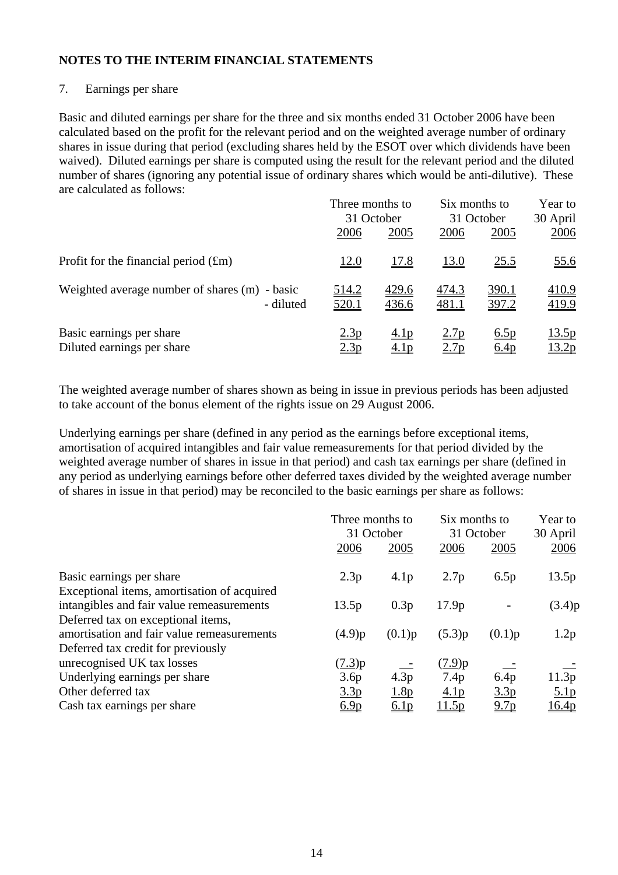#### 7. Earnings per share

Basic and diluted earnings per share for the three and six months ended 31 October 2006 have been calculated based on the profit for the relevant period and on the weighted average number of ordinary shares in issue during that period (excluding shares held by the ESOT over which dividends have been waived). Diluted earnings per share is computed using the result for the relevant period and the diluted number of shares (ignoring any potential issue of ordinary shares which would be anti-dilutive). These are calculated as follows:

|                                               | Three months to  |                  | Six months to    |                  | Year to      |
|-----------------------------------------------|------------------|------------------|------------------|------------------|--------------|
|                                               | 31 October       |                  | 31 October       |                  | 30 April     |
|                                               | 2006             | 2005             | 2006             | 2005             | 2006         |
| Profit for the financial period $(fm)$        | <u>12.0</u>      | <u>17.8</u>      | <u>13.0</u>      | 25.5             | <u>55.6</u>  |
| Weighted average number of shares (m) - basic | <u>514.2</u>     | 429.6            | 474.3            | 390.1            | 410.9        |
| - diluted                                     | <u>520.1</u>     | 436.6            | 481.1            | 397.2            | 419.9        |
| Basic earnings per share                      | 2.3p             | 4.1 <sub>p</sub> | 2.7 <sub>p</sub> | 6.5p             | <u>13.5p</u> |
| Diluted earnings per share                    | 2.3 <sub>p</sub> | <u>4.1p</u>      | 2.7 <sub>p</sub> | 6.4 <sub>p</sub> | <u>13.2p</u> |

The weighted average number of shares shown as being in issue in previous periods has been adjusted to take account of the bonus element of the rights issue on 29 August 2006.

Underlying earnings per share (defined in any period as the earnings before exceptional items, amortisation of acquired intangibles and fair value remeasurements for that period divided by the weighted average number of shares in issue in that period) and cash tax earnings per share (defined in any period as underlying earnings before other deferred taxes divided by the weighted average number of shares in issue in that period) may be reconciled to the basic earnings per share as follows:

|                                             |                  | Three months to<br>31 October |                   | Six months to<br>31 October |                  |
|---------------------------------------------|------------------|-------------------------------|-------------------|-----------------------------|------------------|
|                                             | 2006             | 2005                          | 2006              | 2005                        | 30 April<br>2006 |
| Basic earnings per share                    | 2.3p             | 4.1 <sub>p</sub>              | 2.7p              | 6.5p                        | 13.5p            |
| Exceptional items, amortisation of acquired |                  |                               |                   |                             |                  |
| intangibles and fair value remeasurements   | 13.5p            | 0.3p                          | 17.9 <sub>p</sub> |                             | (3.4)p           |
| Deferred tax on exceptional items,          |                  |                               |                   |                             |                  |
| amortisation and fair value remeasurements  | (4.9)p           | (0.1)p                        | (5.3)p            | (0.1)p                      | 1.2p             |
| Deferred tax credit for previously          |                  |                               |                   |                             |                  |
| unrecognised UK tax losses                  | (7.3)p           |                               | $(7.9)$ p         |                             |                  |
| Underlying earnings per share               | 3.6p             | 4.3p                          | 7.4p              | 6.4p                        | 11.3p            |
| Other deferred tax                          | 3.3 <sub>p</sub> | 1.8p                          | 4.1 <sub>p</sub>  | 3.3p                        | 5.1 <sub>p</sub> |
| Cash tax earnings per share                 | 6.9 <sub>p</sub> | 6.1 <sub>p</sub>              | 11.5p             | 9.7 <sub>p</sub>            | <u>16.4p</u>     |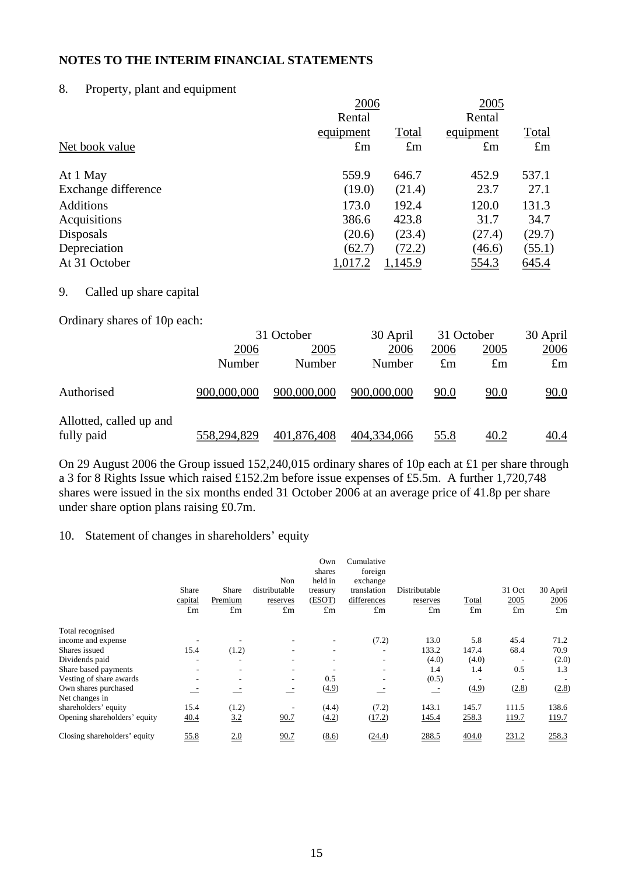#### 8. Property, plant and equipment

|                     |             | 2006        |             |              |  |  |
|---------------------|-------------|-------------|-------------|--------------|--|--|
|                     | Rental      |             | Rental      |              |  |  |
|                     | equipment   | Total       | equipment   | <b>Total</b> |  |  |
| Net book value      | $\pounds$ m | $\pounds$ m | $\pounds$ m | $\pounds$ m  |  |  |
| At 1 May            | 559.9       | 646.7       | 452.9       | 537.1        |  |  |
| Exchange difference | (19.0)      | (21.4)      | 23.7        | 27.1         |  |  |
| <b>Additions</b>    | 173.0       | 192.4       | 120.0       | 131.3        |  |  |
| Acquisitions        | 386.6       | 423.8       | 31.7        | 34.7         |  |  |
| Disposals           | (20.6)      | (23.4)      | (27.4)      | (29.7)       |  |  |
| Depreciation        | (62.7)      | (72.2)      | (46.6)      | (55.1)       |  |  |
| At 31 October       | 1,017.2     | 1,145.9     | 554.3       | 645.4        |  |  |
|                     |             |             |             |              |  |  |

## 9. Called up share capital

Ordinary shares of 10p each:

|                                       |             | 31 October  |             | 31 October  | 30 April           |                    |
|---------------------------------------|-------------|-------------|-------------|-------------|--------------------|--------------------|
|                                       | 2006        | 2005        | <u>2006</u> | 2006        | <u>2005</u>        | 2006               |
|                                       | Number      | Number      | Number      | $\pounds$ m | $\pounds$ m        | $\pounds$ m        |
| Authorised                            | 900,000,000 | 900,000,000 | 900,000,000 | 90.0        | <u>90.0</u>        | $\underline{90.0}$ |
| Allotted, called up and<br>fully paid | 558,294,829 | 401,876,408 | 404,334,066 | <u>55.8</u> | $\underline{40.2}$ | <u>40.4</u>        |

On 29 August 2006 the Group issued 152,240,015 ordinary shares of 10p each at £1 per share through a 3 for 8 Rights Issue which raised £152.2m before issue expenses of £5.5m. A further 1,720,748 shares were issued in the six months ended 31 October 2006 at an average price of 41.8p per share under share option plans raising £0.7m.

#### 10. Statement of changes in shareholders' equity

|                                        | Share<br>capital<br>$\pounds$ m | Share<br>Premium<br>$\pounds$ m | Non<br>distributable<br>reserves<br>$\pounds$ m | Own<br>shares<br>held in<br>treasury<br>(ESOT)<br>$\pounds$ m | Cumulative<br>foreign<br>exchange<br>translation<br>differences<br>$\pounds$ m | Distributable<br>reserves<br>$\pounds$ m | Total<br>$\pounds$ m | 31 Oct<br>2005<br>$\pounds$ m | 30 April<br>2006<br>$\pounds$ m |
|----------------------------------------|---------------------------------|---------------------------------|-------------------------------------------------|---------------------------------------------------------------|--------------------------------------------------------------------------------|------------------------------------------|----------------------|-------------------------------|---------------------------------|
| Total recognised                       |                                 |                                 |                                                 |                                                               |                                                                                |                                          |                      |                               |                                 |
| income and expense                     |                                 |                                 |                                                 |                                                               | (7.2)                                                                          | 13.0                                     | 5.8                  | 45.4                          | 71.2                            |
| Shares issued                          | 15.4                            | (1.2)                           |                                                 | $\overline{\phantom{a}}$                                      |                                                                                | 133.2                                    | 147.4                | 68.4                          | 70.9                            |
| Dividends paid                         |                                 | ٠                               |                                                 |                                                               |                                                                                | (4.0)                                    | (4.0)                |                               | (2.0)                           |
| Share based payments                   | $\overline{\phantom{a}}$        | $\overline{\phantom{a}}$        | ۰                                               |                                                               | $\overline{\phantom{a}}$                                                       | 1.4                                      | 1.4                  | 0.5                           | 1.3                             |
| Vesting of share awards                |                                 | ٠                               | $\overline{\phantom{a}}$                        | 0.5                                                           | ٠                                                                              | (0.5)                                    |                      |                               |                                 |
| Own shares purchased<br>Net changes in |                                 |                                 | $\overline{\phantom{a}}$                        | (4.9)                                                         |                                                                                |                                          | (4.9)                | (2.8)                         | (2.8)                           |
| shareholders' equity                   | 15.4                            | (1.2)                           |                                                 | (4.4)                                                         | (7.2)                                                                          | 143.1                                    | 145.7                | 111.5                         | 138.6                           |
| Opening shareholders' equity           | 40.4                            | 3.2                             | 90.7                                            | (4.2)                                                         | (17.2)                                                                         | 145.4                                    | 258.3                | 119.7                         | 119.7                           |
| Closing shareholders' equity           | 55.8                            | 2.0                             | 90.7                                            | (8.6)                                                         | (24.4)                                                                         | 288.5                                    | 404.0                | 231.2                         | 258.3                           |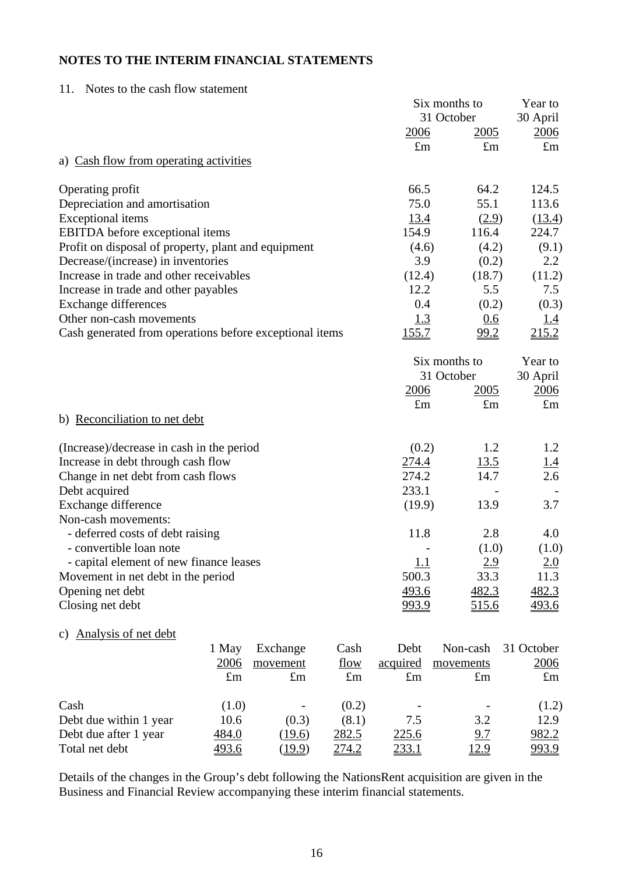11. Notes to the cash flow statement

|                                                         |             |             |             | Six months to | Year to       |                   |
|---------------------------------------------------------|-------------|-------------|-------------|---------------|---------------|-------------------|
|                                                         |             |             |             |               | 31 October    | 30 April          |
|                                                         |             |             |             | <u>2006</u>   | <u>2005</u>   | 2006              |
|                                                         |             |             |             | $\pounds$ m   | $\pounds$ m   | $\pounds$ m       |
| a) Cash flow from operating activities                  |             |             |             |               |               |                   |
| Operating profit                                        |             |             |             | 66.5          | 64.2          | 124.5             |
| Depreciation and amortisation                           |             |             |             | 75.0          | 55.1          | 113.6             |
| <b>Exceptional</b> items                                |             |             |             | 13.4          | (2.9)         | (13.4)            |
| <b>EBITDA</b> before exceptional items                  |             |             |             | 154.9         | 116.4         | 224.7             |
| Profit on disposal of property, plant and equipment     |             |             |             | (4.6)         | (4.2)         | (9.1)             |
| Decrease/(increase) in inventories                      |             |             |             | 3.9           | (0.2)         | 2.2               |
| Increase in trade and other receivables                 |             |             |             | (12.4)        | (18.7)        | (11.2)            |
| Increase in trade and other payables                    |             |             |             | 12.2          | 5.5           | 7.5               |
| <b>Exchange differences</b>                             |             |             |             | 0.4           | (0.2)         | (0.3)             |
| Other non-cash movements                                |             |             |             | <u>1.3</u>    | 0.6           | <u>1.4</u>        |
| Cash generated from operations before exceptional items |             |             |             | <u>155.7</u>  | <u>99.2</u>   | 215.2             |
|                                                         |             |             |             |               | Six months to | Year to           |
|                                                         |             |             |             |               | 31 October    | 30 April          |
|                                                         |             |             |             | <u>2006</u>   | 2005          | 2006              |
|                                                         |             |             |             | $\pounds$ m   | $\pounds$ m   | $\pounds$ m       |
| b) Reconciliation to net debt                           |             |             |             |               |               |                   |
| (Increase)/decrease in cash in the period               |             |             |             | (0.2)         | 1.2           | 1.2               |
| Increase in debt through cash flow                      |             |             |             | 274.4         | <u>13.5</u>   | $\frac{1.4}{2.6}$ |
| Change in net debt from cash flows                      |             |             |             | 274.2         | 14.7          |                   |
| Debt acquired                                           |             |             |             | 233.1         |               |                   |
| Exchange difference                                     |             |             |             | (19.9)        | 13.9          | 3.7               |
| Non-cash movements:                                     |             |             |             |               |               |                   |
| - deferred costs of debt raising                        |             |             |             | 11.8          | 2.8           | 4.0               |
| - convertible loan note                                 |             |             |             |               | (1.0)         | (1.0)             |
| - capital element of new finance leases                 |             |             |             | <u> 1.1</u>   | 2.9           | 2.0               |
| Movement in net debt in the period                      |             |             |             | 500.3         | 33.3          | 11.3              |
| Opening net debt                                        |             |             |             | 493.6         | 482.3         | 482.3             |
| Closing net debt                                        |             |             |             | 993.9         | 515.6         | <u>493.6</u>      |
| c) Analysis of net debt                                 |             |             |             |               |               |                   |
|                                                         | 1 May       | Exchange    | Cash        | Debt          | Non-cash      | 31 October        |
|                                                         | 2006        | movement    | flow        | acquired      | movements     | 2006              |
|                                                         | $\pounds$ m | $\pounds$ m | $\pounds$ m | $\pounds$ m   | $\pounds$ m   | $\pounds$ m       |
| Cash                                                    | (1.0)       |             | (0.2)       |               |               | (1.2)             |
| Debt due within 1 year                                  | 10.6        | (0.3)       | (8.1)       | 7.5           | 3.2           | 12.9              |
| Debt due after 1 year                                   | 484.0       | (19.6)      | 282.5       | 225.6         | 9.7           | 982.2             |
| Total net debt                                          | 493.6       | (19.9)      | 274.2       | <u>233.1</u>  | <u>12.9</u>   | <u>993.9</u>      |

Details of the changes in the Group's debt following the NationsRent acquisition are given in the Business and Financial Review accompanying these interim financial statements.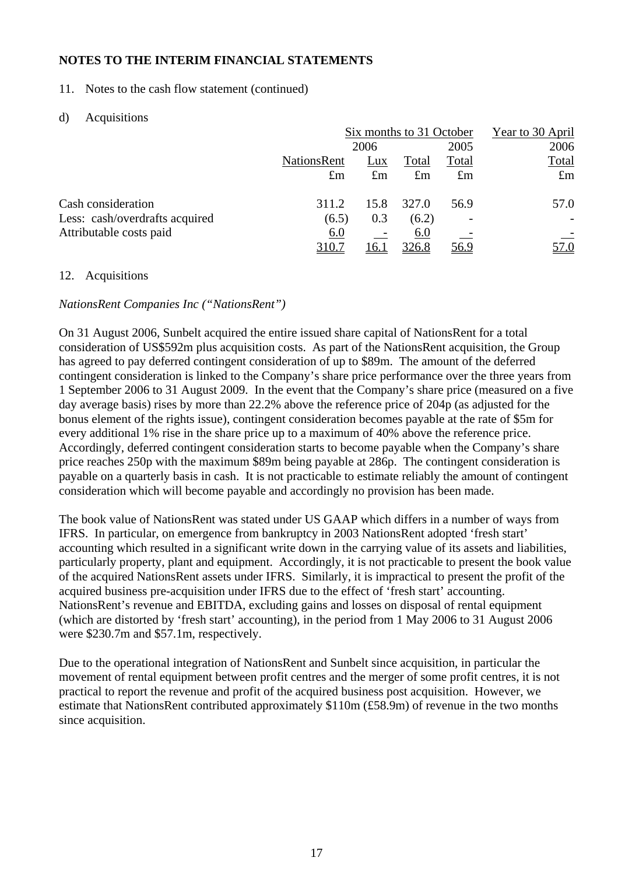11. Notes to the cash flow statement (continued)

### d) Acquisitions

|                                |                    | Six months to 31 October |             |             |              |
|--------------------------------|--------------------|--------------------------|-------------|-------------|--------------|
|                                |                    | 2006                     |             | 2005        | 2006         |
|                                | <b>NationsRent</b> | Lux                      | Total       | Total       | <b>Total</b> |
|                                | $\pounds$ m        | $\pounds$ m              | $\pounds$ m | $\pounds$ m | $\pounds$ m  |
| Cash consideration             | 311.2              | 15.8                     | 327.0       | 56.9        | 57.0         |
| Less: cash/overdrafts acquired | (6.5)              | 0.3                      | (6.2)       |             |              |
| Attributable costs paid        | 6.0                |                          | 6.0         |             |              |
|                                | <u>310.7</u>       | 16.1                     | 326.8       | <u>56.9</u> | <u>7.0</u>   |

#### 12. Acquisitions

## *NationsRent Companies Inc ("NationsRent")*

On 31 August 2006, Sunbelt acquired the entire issued share capital of NationsRent for a total consideration of US\$592m plus acquisition costs. As part of the NationsRent acquisition, the Group has agreed to pay deferred contingent consideration of up to \$89m. The amount of the deferred contingent consideration is linked to the Company's share price performance over the three years from 1 September 2006 to 31 August 2009. In the event that the Company's share price (measured on a five day average basis) rises by more than 22.2% above the reference price of 204p (as adjusted for the bonus element of the rights issue), contingent consideration becomes payable at the rate of \$5m for every additional 1% rise in the share price up to a maximum of 40% above the reference price. Accordingly, deferred contingent consideration starts to become payable when the Company's share price reaches 250p with the maximum \$89m being payable at 286p. The contingent consideration is payable on a quarterly basis in cash. It is not practicable to estimate reliably the amount of contingent consideration which will become payable and accordingly no provision has been made.

The book value of NationsRent was stated under US GAAP which differs in a number of ways from IFRS. In particular, on emergence from bankruptcy in 2003 NationsRent adopted 'fresh start' accounting which resulted in a significant write down in the carrying value of its assets and liabilities, particularly property, plant and equipment. Accordingly, it is not practicable to present the book value of the acquired NationsRent assets under IFRS. Similarly, it is impractical to present the profit of the acquired business pre-acquisition under IFRS due to the effect of 'fresh start' accounting. NationsRent's revenue and EBITDA, excluding gains and losses on disposal of rental equipment (which are distorted by 'fresh start' accounting), in the period from 1 May 2006 to 31 August 2006 were \$230.7m and \$57.1m, respectively.

Due to the operational integration of NationsRent and Sunbelt since acquisition, in particular the movement of rental equipment between profit centres and the merger of some profit centres, it is not practical to report the revenue and profit of the acquired business post acquisition. However, we estimate that NationsRent contributed approximately \$110m (£58.9m) of revenue in the two months since acquisition.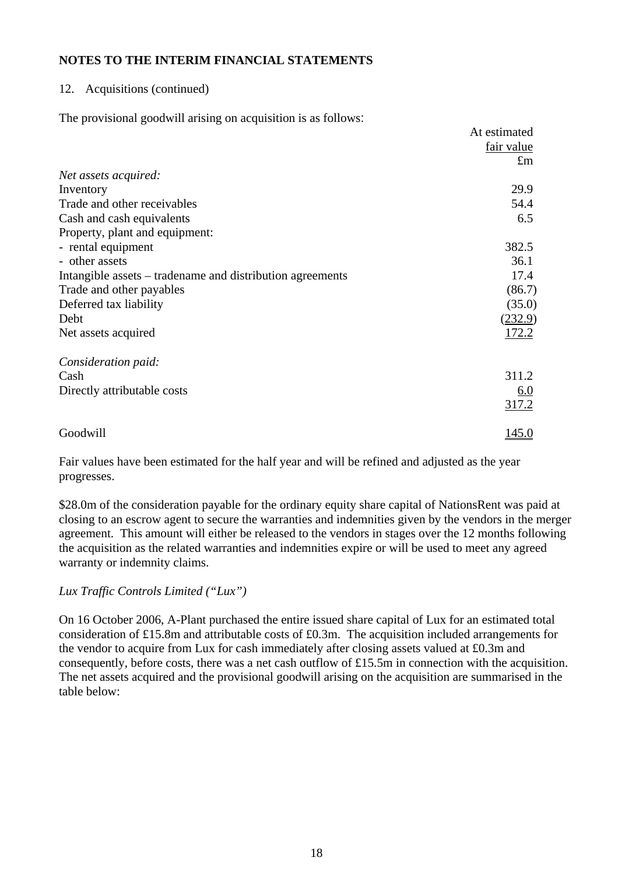#### 12. Acquisitions (continued)

The provisional goodwill arising on acquisition is as follows:

|                                                           | At estimated |
|-----------------------------------------------------------|--------------|
|                                                           | fair value   |
|                                                           | $\pounds$ m  |
| Net assets acquired:                                      |              |
| Inventory                                                 | 29.9         |
| Trade and other receivables                               | 54.4         |
| Cash and cash equivalents                                 | 6.5          |
| Property, plant and equipment:                            |              |
| - rental equipment                                        | 382.5        |
| - other assets                                            | 36.1         |
| Intangible assets – tradename and distribution agreements | 17.4         |
| Trade and other payables                                  | (86.7)       |
| Deferred tax liability                                    | (35.0)       |
| Debt                                                      | (232.9)      |
| Net assets acquired                                       | 172.2        |
| Consideration paid:                                       |              |
| Cash                                                      | 311.2        |
| Directly attributable costs                               | 6.0          |
|                                                           | 317.2        |
| Goodwill                                                  | <u>145.0</u> |

Fair values have been estimated for the half year and will be refined and adjusted as the year progresses.

\$28.0m of the consideration payable for the ordinary equity share capital of NationsRent was paid at closing to an escrow agent to secure the warranties and indemnities given by the vendors in the merger agreement. This amount will either be released to the vendors in stages over the 12 months following the acquisition as the related warranties and indemnities expire or will be used to meet any agreed warranty or indemnity claims.

*Lux Traffic Controls Limited ("Lux")* 

On 16 October 2006, A-Plant purchased the entire issued share capital of Lux for an estimated total consideration of £15.8m and attributable costs of £0.3m. The acquisition included arrangements for the vendor to acquire from Lux for cash immediately after closing assets valued at £0.3m and consequently, before costs, there was a net cash outflow of £15.5m in connection with the acquisition. The net assets acquired and the provisional goodwill arising on the acquisition are summarised in the table below: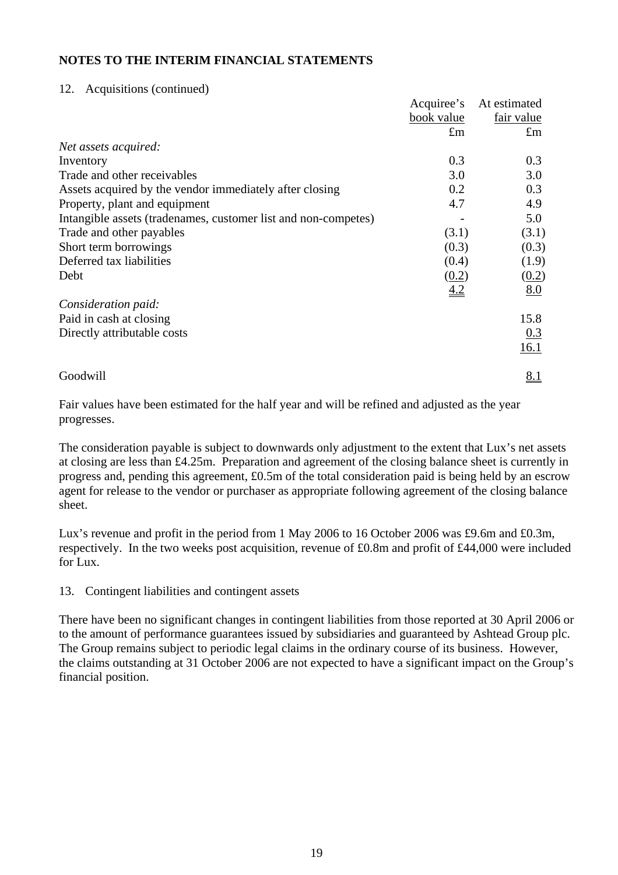#### 12. Acquisitions (continued)

|                                                                | Acquiree's  | At estimated |
|----------------------------------------------------------------|-------------|--------------|
|                                                                | book value  | fair value   |
|                                                                | $\pounds$ m | $\pounds$ m  |
| Net assets acquired:                                           |             |              |
| Inventory                                                      | 0.3         | 0.3          |
| Trade and other receivables                                    | 3.0         | 3.0          |
| Assets acquired by the vendor immediately after closing        | 0.2         | 0.3          |
| Property, plant and equipment                                  | 4.7         | 4.9          |
| Intangible assets (tradenames, customer list and non-competes) |             | 5.0          |
| Trade and other payables                                       | (3.1)       | (3.1)        |
| Short term borrowings                                          | (0.3)       | (0.3)        |
| Deferred tax liabilities                                       | (0.4)       | (1.9)        |
| Debt                                                           | (0.2)       | (0.2)        |
|                                                                | 4.2         | 8.0          |
| Consideration paid:                                            |             |              |
| Paid in cash at closing                                        |             | 15.8         |
| Directly attributable costs                                    |             | 0.3          |
|                                                                |             | 16.1         |
| Goodwill                                                       |             | <u>8.1</u>   |

Fair values have been estimated for the half year and will be refined and adjusted as the year progresses.

The consideration payable is subject to downwards only adjustment to the extent that Lux's net assets at closing are less than £4.25m. Preparation and agreement of the closing balance sheet is currently in progress and, pending this agreement, £0.5m of the total consideration paid is being held by an escrow agent for release to the vendor or purchaser as appropriate following agreement of the closing balance sheet.

Lux's revenue and profit in the period from 1 May 2006 to 16 October 2006 was £9.6m and £0.3m, respectively. In the two weeks post acquisition, revenue of £0.8m and profit of £44,000 were included for Lux.

13. Contingent liabilities and contingent assets

There have been no significant changes in contingent liabilities from those reported at 30 April 2006 or to the amount of performance guarantees issued by subsidiaries and guaranteed by Ashtead Group plc. The Group remains subject to periodic legal claims in the ordinary course of its business. However, the claims outstanding at 31 October 2006 are not expected to have a significant impact on the Group's financial position.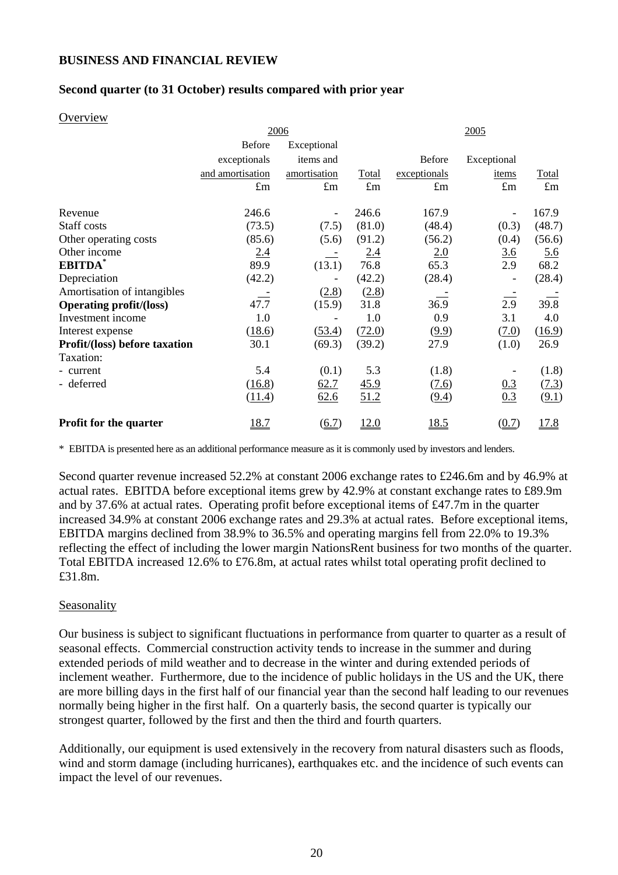## **BUSINESS AND FINANCIAL REVIEW**

#### **Second quarter (to 31 October) results compared with prior year**

#### **Overview**

|                                | 2006             |                          |             | 2005          |                              |              |  |
|--------------------------------|------------------|--------------------------|-------------|---------------|------------------------------|--------------|--|
|                                | <b>Before</b>    | Exceptional              |             |               |                              |              |  |
|                                | exceptionals     | items and                |             | <b>Before</b> | Exceptional                  |              |  |
|                                | and amortisation | amortisation             | Total       | exceptionals  | items                        | <b>Total</b> |  |
|                                | $\pounds$ m      | $\pounds$ m              | $\pounds$ m | $\pounds$ m   | $\pounds$ m                  | $\pounds$ m  |  |
| Revenue                        | 246.6            | $\overline{\phantom{a}}$ | 246.6       | 167.9         | $\overline{\phantom{0}}$     | 167.9        |  |
| Staff costs                    | (73.5)           | (7.5)                    | (81.0)      | (48.4)        | (0.3)                        | (48.7)       |  |
| Other operating costs          | (85.6)           | (5.6)                    | (91.2)      | (56.2)        | (0.4)                        | (56.6)       |  |
| Other income                   | 2.4              |                          | 2.4         | 2.0           | <u>3.6</u>                   | <u>5.6</u>   |  |
| EBITDA*                        | 89.9             | (13.1)                   | 76.8        | 65.3          | 2.9                          | 68.2         |  |
| Depreciation                   | (42.2)           |                          | (42.2)      | (28.4)        | $\qquad \qquad \blacksquare$ | (28.4)       |  |
| Amortisation of intangibles    |                  | (2.8)                    | (2.8)       |               |                              |              |  |
| <b>Operating profit/(loss)</b> | 47.7             | (15.9)                   | 31.8        | 36.9          | 2.9                          | 39.8         |  |
| Investment income              | 1.0              |                          | 1.0         | 0.9           | 3.1                          | 4.0          |  |
| Interest expense               | (18.6)           | (53.4)                   | (72.0)      | (9.9)         | (7.0)                        | (16.9)       |  |
| Profit/(loss) before taxation  | 30.1             | (69.3)                   | (39.2)      | 27.9          | (1.0)                        | 26.9         |  |
| Taxation:                      |                  |                          |             |               |                              |              |  |
| - current                      | 5.4              | (0.1)                    | 5.3         | (1.8)         |                              | (1.8)        |  |
| - deferred                     | (16.8)           | 62.7                     | <u>45.9</u> | (7.6)         | 0.3                          | (7.3)        |  |
|                                | (11.4)           | 62.6                     | 51.2        | (9.4)         | 0.3                          | (9.1)        |  |
| <b>Profit for the quarter</b>  | <u>18.7</u>      | (6.7)                    | 12.0        | <u>18.5</u>   | (0.7)                        | 17.8         |  |

\* EBITDA is presented here as an additional performance measure as it is commonly used by investors and lenders.

Second quarter revenue increased 52.2% at constant 2006 exchange rates to £246.6m and by 46.9% at actual rates. EBITDA before exceptional items grew by 42.9% at constant exchange rates to £89.9m and by 37.6% at actual rates. Operating profit before exceptional items of £47.7m in the quarter increased 34.9% at constant 2006 exchange rates and 29.3% at actual rates. Before exceptional items, EBITDA margins declined from 38.9% to 36.5% and operating margins fell from 22.0% to 19.3% reflecting the effect of including the lower margin NationsRent business for two months of the quarter. Total EBITDA increased 12.6% to £76.8m, at actual rates whilst total operating profit declined to £31.8m.

#### Seasonality

Our business is subject to significant fluctuations in performance from quarter to quarter as a result of seasonal effects. Commercial construction activity tends to increase in the summer and during extended periods of mild weather and to decrease in the winter and during extended periods of inclement weather. Furthermore, due to the incidence of public holidays in the US and the UK, there are more billing days in the first half of our financial year than the second half leading to our revenues normally being higher in the first half. On a quarterly basis, the second quarter is typically our strongest quarter, followed by the first and then the third and fourth quarters.

Additionally, our equipment is used extensively in the recovery from natural disasters such as floods, wind and storm damage (including hurricanes), earthquakes etc. and the incidence of such events can impact the level of our revenues.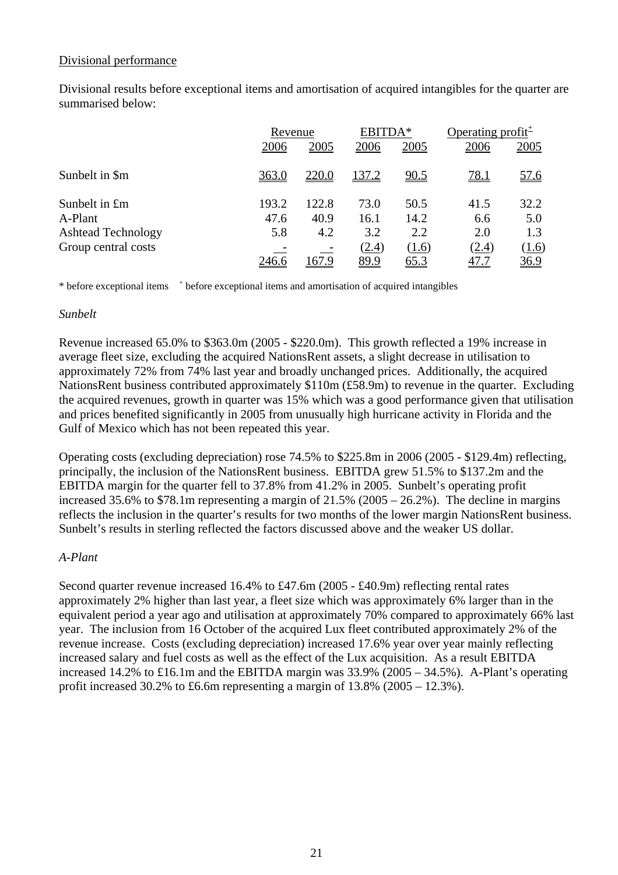#### Divisional performance

Divisional results before exceptional items and amortisation of acquired intangibles for the quarter are summarised below:

|                           |       | Revenue |       | EBITDA*     |             | Operating profit <sup><math>\pm</math></sup> |  |
|---------------------------|-------|---------|-------|-------------|-------------|----------------------------------------------|--|
|                           | 2006  | 2005    | 2006  | 2005        | 2006        | 2005                                         |  |
| Sunbelt in \$m            | 363.0 | 220.0   | 137.2 | <u>90.5</u> | 78.1        | <u>57.6</u>                                  |  |
| Sunbelt in £m             | 193.2 | 122.8   | 73.0  | 50.5        | 41.5        | 32.2                                         |  |
| A-Plant                   | 47.6  | 40.9    | 16.1  | 14.2        | 6.6         | 5.0                                          |  |
| <b>Ashtead Technology</b> | 5.8   | 4.2     | 3.2   | 2.2         | 2.0         | 1.3                                          |  |
| Group central costs       |       |         | (2.4) | (1.6)       | (2.4)       | (1.6)                                        |  |
|                           | 246.6 | 167.9   | 89.9  | <u>65.3</u> | <u>47.7</u> | <u>36.9</u>                                  |  |

\* before exceptional items <sup>+</sup> before exceptional items and amortisation of acquired intangibles

#### *Sunbelt*

Revenue increased 65.0% to \$363.0m (2005 - \$220.0m). This growth reflected a 19% increase in average fleet size, excluding the acquired NationsRent assets, a slight decrease in utilisation to approximately 72% from 74% last year and broadly unchanged prices. Additionally, the acquired NationsRent business contributed approximately \$110m (£58.9m) to revenue in the quarter. Excluding the acquired revenues, growth in quarter was 15% which was a good performance given that utilisation and prices benefited significantly in 2005 from unusually high hurricane activity in Florida and the Gulf of Mexico which has not been repeated this year.

Operating costs (excluding depreciation) rose 74.5% to \$225.8m in 2006 (2005 - \$129.4m) reflecting, principally, the inclusion of the NationsRent business. EBITDA grew 51.5% to \$137.2m and the EBITDA margin for the quarter fell to 37.8% from 41.2% in 2005. Sunbelt's operating profit increased 35.6% to \$78.1m representing a margin of 21.5% (2005 – 26.2%). The decline in margins reflects the inclusion in the quarter's results for two months of the lower margin NationsRent business. Sunbelt's results in sterling reflected the factors discussed above and the weaker US dollar.

#### *A-Plant*

Second quarter revenue increased 16.4% to £47.6m (2005 - £40.9m) reflecting rental rates approximately 2% higher than last year, a fleet size which was approximately 6% larger than in the equivalent period a year ago and utilisation at approximately 70% compared to approximately 66% last year. The inclusion from 16 October of the acquired Lux fleet contributed approximately 2% of the revenue increase. Costs (excluding depreciation) increased 17.6% year over year mainly reflecting increased salary and fuel costs as well as the effect of the Lux acquisition. As a result EBITDA increased 14.2% to £16.1m and the EBITDA margin was 33.9% (2005 – 34.5%). A-Plant's operating profit increased 30.2% to £6.6m representing a margin of  $13.8\%$  (2005 – 12.3%).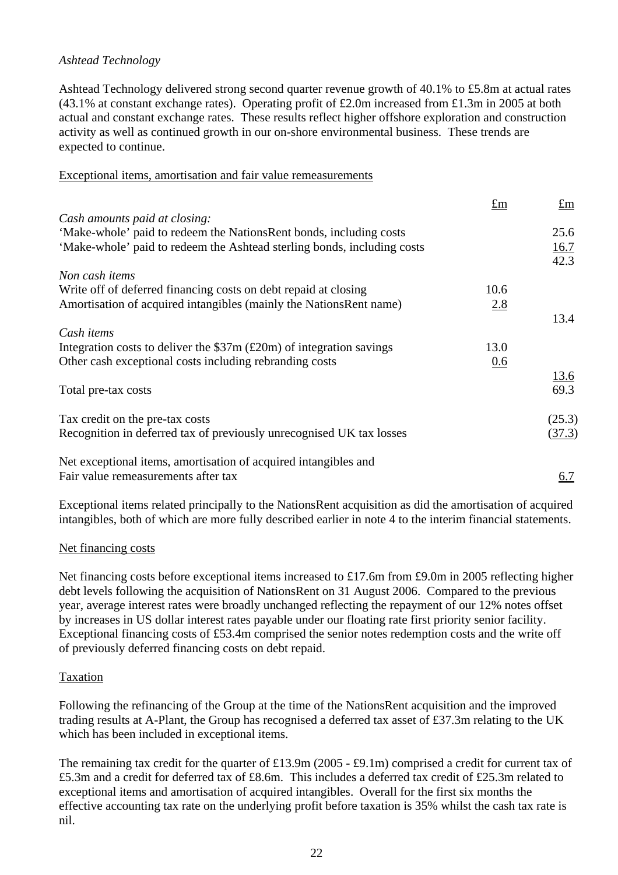### *Ashtead Technology*

Ashtead Technology delivered strong second quarter revenue growth of 40.1% to £5.8m at actual rates (43.1% at constant exchange rates). Operating profit of £2.0m increased from £1.3m in 2005 at both actual and constant exchange rates. These results reflect higher offshore exploration and construction activity as well as continued growth in our on-shore environmental business. These trends are expected to continue.

#### Exceptional items, amortisation and fair value remeasurements

| $\pounds$ m | $\pm m$      |
|-------------|--------------|
|             |              |
|             | 25.6         |
|             | 16.7<br>42.3 |
|             |              |
| 10.6        |              |
| 2.8         |              |
|             | 13.4         |
|             |              |
| 13.0        |              |
| 0.6         |              |
|             | 13.6         |
|             | 69.3         |
|             |              |
|             | (25.3)       |
|             | (37.3)       |
|             |              |
|             |              |
|             | <u>6.7</u>   |
|             |              |

Exceptional items related principally to the NationsRent acquisition as did the amortisation of acquired intangibles, both of which are more fully described earlier in note 4 to the interim financial statements.

#### Net financing costs

Net financing costs before exceptional items increased to £17.6m from £9.0m in 2005 reflecting higher debt levels following the acquisition of NationsRent on 31 August 2006. Compared to the previous year, average interest rates were broadly unchanged reflecting the repayment of our 12% notes offset by increases in US dollar interest rates payable under our floating rate first priority senior facility. Exceptional financing costs of £53.4m comprised the senior notes redemption costs and the write off of previously deferred financing costs on debt repaid.

#### Taxation

Following the refinancing of the Group at the time of the NationsRent acquisition and the improved trading results at A-Plant, the Group has recognised a deferred tax asset of £37.3m relating to the UK which has been included in exceptional items.

The remaining tax credit for the quarter of £13.9m (2005 - £9.1m) comprised a credit for current tax of £5.3m and a credit for deferred tax of £8.6m. This includes a deferred tax credit of £25.3m related to exceptional items and amortisation of acquired intangibles. Overall for the first six months the effective accounting tax rate on the underlying profit before taxation is 35% whilst the cash tax rate is nil.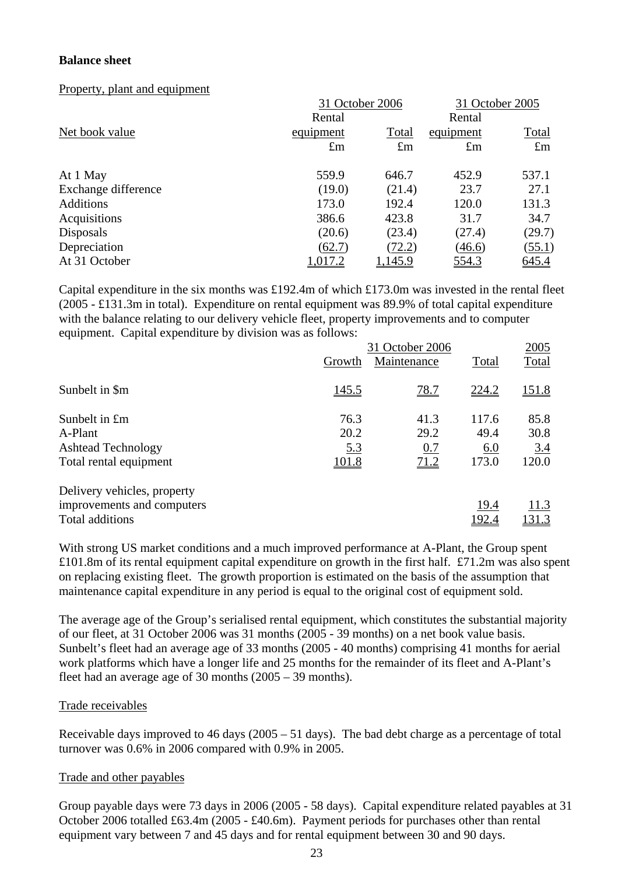### **Balance sheet**

Property, plant and equipment

|                     | 31 October 2006    | 31 October 2005 |              |              |
|---------------------|--------------------|-----------------|--------------|--------------|
|                     | Rental             | Rental          |              |              |
| Net book value      | Total<br>equipment |                 | equipment    | <b>Total</b> |
|                     | $\pounds$ m        | $\pounds$ m     | $\pounds$ m  | $\pounds$ m  |
| At 1 May            | 559.9              | 646.7           | 452.9        | 537.1        |
| Exchange difference | (19.0)             | (21.4)          | 23.7         | 27.1         |
| <b>Additions</b>    | 173.0              | 192.4           | 120.0        | 131.3        |
| Acquisitions        | 386.6              | 423.8           | 31.7         | 34.7         |
| <b>Disposals</b>    | (20.6)             | (23.4)          | (27.4)       | (29.7)       |
| Depreciation        | (62.7)             | (72.2)          | (46.6)       | (55.1)       |
| At 31 October       | 1,017.2            | 1,145.9         | <u>554.3</u> | 645.4        |

Capital expenditure in the six months was £192.4m of which £173.0m was invested in the rental fleet (2005 - £131.3m in total). Expenditure on rental equipment was 89.9% of total capital expenditure with the balance relating to our delivery vehicle fleet, property improvements and to computer equipment. Capital expenditure by division was as follows:

|                             | 31 October 2006 |             |               |              |
|-----------------------------|-----------------|-------------|---------------|--------------|
|                             | Growth          | Maintenance | Total         | <b>Total</b> |
| Sunbelt in \$m              | <u>145.5</u>    | 78.7        | 224.2         | <u>151.8</u> |
| Sunbelt in £m               | 76.3            | 41.3        | 117.6         | 85.8         |
| A-Plant                     | 20.2            | 29.2        | 49.4          | 30.8         |
| <b>Ashtead Technology</b>   | <u>5.3</u>      | 0.7         | 6.0           | 3.4          |
| Total rental equipment      | <u>101.8</u>    | 71.2        | 173.0         | 120.0        |
| Delivery vehicles, property |                 |             |               |              |
| improvements and computers  |                 |             | 19.4          | 11.3         |
| Total additions             |                 |             | <u> 192.4</u> | <u>131.3</u> |

With strong US market conditions and a much improved performance at A-Plant, the Group spent £101.8m of its rental equipment capital expenditure on growth in the first half. £71.2m was also spent on replacing existing fleet. The growth proportion is estimated on the basis of the assumption that maintenance capital expenditure in any period is equal to the original cost of equipment sold.

The average age of the Group's serialised rental equipment, which constitutes the substantial majority of our fleet, at 31 October 2006 was 31 months (2005 - 39 months) on a net book value basis. Sunbelt's fleet had an average age of 33 months (2005 - 40 months) comprising 41 months for aerial work platforms which have a longer life and 25 months for the remainder of its fleet and A-Plant's fleet had an average age of 30 months (2005 – 39 months).

## Trade receivables

Receivable days improved to 46 days (2005 – 51 days). The bad debt charge as a percentage of total turnover was 0.6% in 2006 compared with 0.9% in 2005.

#### Trade and other payables

Group payable days were 73 days in 2006 (2005 - 58 days). Capital expenditure related payables at 31 October 2006 totalled £63.4m (2005 - £40.6m). Payment periods for purchases other than rental equipment vary between 7 and 45 days and for rental equipment between 30 and 90 days.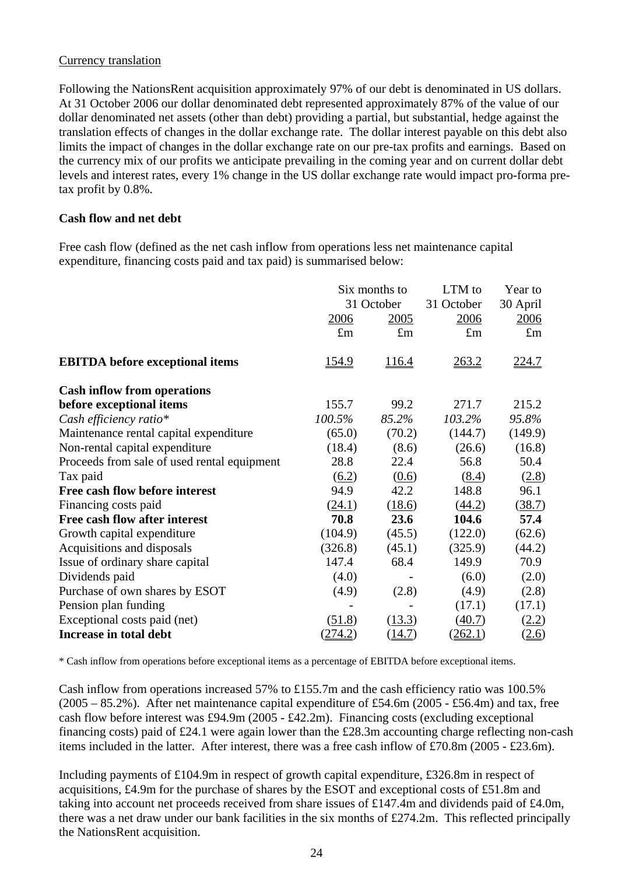#### Currency translation

Following the NationsRent acquisition approximately 97% of our debt is denominated in US dollars. At 31 October 2006 our dollar denominated debt represented approximately 87% of the value of our dollar denominated net assets (other than debt) providing a partial, but substantial, hedge against the translation effects of changes in the dollar exchange rate. The dollar interest payable on this debt also limits the impact of changes in the dollar exchange rate on our pre-tax profits and earnings. Based on the currency mix of our profits we anticipate prevailing in the coming year and on current dollar debt levels and interest rates, every 1% change in the US dollar exchange rate would impact pro-forma pretax profit by 0.8%.

### **Cash flow and net debt**

Free cash flow (defined as the net cash inflow from operations less net maintenance capital expenditure, financing costs paid and tax paid) is summarised below:

|                                             | Six months to<br>31 October |              | LTM to<br>31 October | Year to<br>30 April<br>2006 |
|---------------------------------------------|-----------------------------|--------------|----------------------|-----------------------------|
|                                             | 2006                        | 2005         |                      |                             |
|                                             | $\pounds$ m                 | $\pounds$ m  | $\pounds$ m          | $\pounds$ m                 |
| <b>EBITDA</b> before exceptional items      | <u>154.9</u>                | <u>116.4</u> | <u>263.2</u>         | <u>224.7</u>                |
| <b>Cash inflow from operations</b>          |                             |              |                      |                             |
| before exceptional items                    | 155.7                       | 99.2         | 271.7                | 215.2                       |
| Cash efficiency ratio*                      | 100.5%                      | 85.2%        | 103.2%               | 95.8%                       |
| Maintenance rental capital expenditure      | (65.0)                      | (70.2)       | (144.7)              | (149.9)                     |
| Non-rental capital expenditure              | (18.4)                      | (8.6)        | (26.6)               | (16.8)                      |
| Proceeds from sale of used rental equipment | 28.8                        | 22.4         | 56.8                 | 50.4                        |
| Tax paid                                    | (6.2)                       | (0.6)        | (8.4)                | (2.8)                       |
| Free cash flow before interest              | 94.9                        | 42.2         | 148.8                | 96.1                        |
| Financing costs paid                        | (24.1)                      | (18.6)       | (44.2)               | (38.7)                      |
| Free cash flow after interest               | 70.8                        | 23.6         | 104.6                | 57.4                        |
| Growth capital expenditure                  | (104.9)                     | (45.5)       | (122.0)              | (62.6)                      |
| Acquisitions and disposals                  | (326.8)                     | (45.1)       | (325.9)              | (44.2)                      |
| Issue of ordinary share capital             | 147.4                       | 68.4         | 149.9                | 70.9                        |
| Dividends paid                              | (4.0)                       |              | (6.0)                | (2.0)                       |
| Purchase of own shares by ESOT              | (4.9)                       | (2.8)        | (4.9)                | (2.8)                       |
| Pension plan funding                        |                             |              | (17.1)               | (17.1)                      |
| Exceptional costs paid (net)                | (51.8)                      | (13.3)       | (40.7)               | <u>(2.2)</u>                |
| Increase in total debt                      | <u>(274.2)</u>              | (14.7)       | (262.1)              | <u>(2.6)</u>                |

\* Cash inflow from operations before exceptional items as a percentage of EBITDA before exceptional items.

Cash inflow from operations increased 57% to £155.7m and the cash efficiency ratio was 100.5%  $(2005 - 85.2\%)$ . After net maintenance capital expenditure of £54.6m  $(2005 - 556.4m)$  and tax, free cash flow before interest was £94.9m (2005 - £42.2m). Financing costs (excluding exceptional financing costs) paid of £24.1 were again lower than the £28.3m accounting charge reflecting non-cash items included in the latter. After interest, there was a free cash inflow of £70.8m (2005 - £23.6m).

Including payments of £104.9m in respect of growth capital expenditure, £326.8m in respect of acquisitions, £4.9m for the purchase of shares by the ESOT and exceptional costs of £51.8m and taking into account net proceeds received from share issues of £147.4m and dividends paid of £4.0m, there was a net draw under our bank facilities in the six months of £274.2m. This reflected principally the NationsRent acquisition.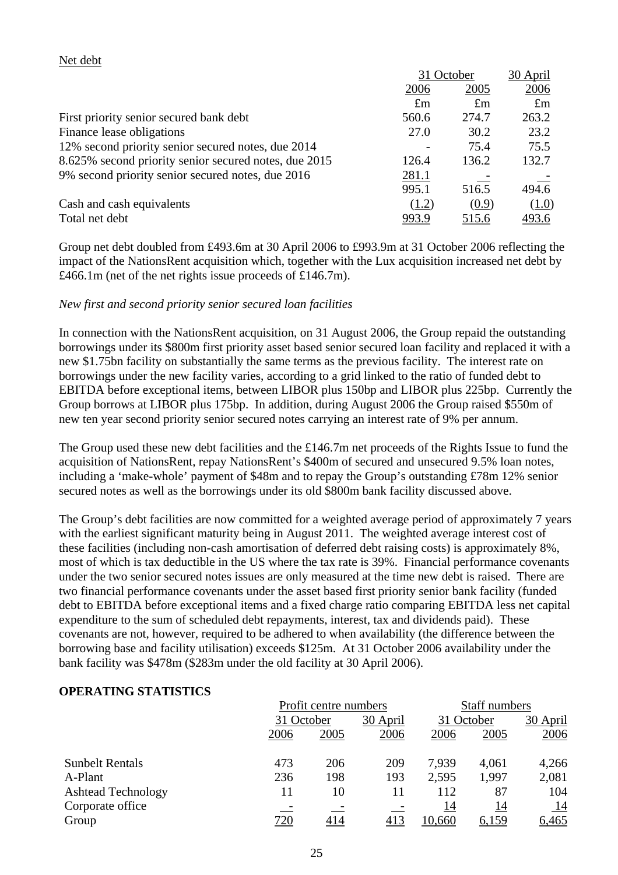#### Net debt

|                                                       | 31 October  |              | 30 April     |  |
|-------------------------------------------------------|-------------|--------------|--------------|--|
|                                                       | 2006        | 2005         | 2006         |  |
|                                                       | $\pounds$ m | $\pounds$ m  | $\pounds$ m  |  |
| First priority senior secured bank debt               | 560.6       | 274.7        | 263.2        |  |
| Finance lease obligations                             | 27.0        | 30.2         | 23.2         |  |
| 12% second priority senior secured notes, due 2014    |             | 75.4         | 75.5         |  |
| 8.625% second priority senior secured notes, due 2015 | 126.4       | 136.2        | 132.7        |  |
| 9% second priority senior secured notes, due 2016     | 281.1       |              |              |  |
|                                                       | 995.1       | 516.5        | 494.6        |  |
| Cash and cash equivalents                             | (1.2)       | (0.9)        | (1.0)        |  |
| Total net debt                                        | 993.9       | <u>515.6</u> | <u>493.6</u> |  |

Group net debt doubled from £493.6m at 30 April 2006 to £993.9m at 31 October 2006 reflecting the impact of the NationsRent acquisition which, together with the Lux acquisition increased net debt by £466.1m (net of the net rights issue proceeds of £146.7m).

## *New first and second priority senior secured loan facilities*

In connection with the NationsRent acquisition, on 31 August 2006, the Group repaid the outstanding borrowings under its \$800m first priority asset based senior secured loan facility and replaced it with a new \$1.75bn facility on substantially the same terms as the previous facility. The interest rate on borrowings under the new facility varies, according to a grid linked to the ratio of funded debt to EBITDA before exceptional items, between LIBOR plus 150bp and LIBOR plus 225bp. Currently the Group borrows at LIBOR plus 175bp. In addition, during August 2006 the Group raised \$550m of new ten year second priority senior secured notes carrying an interest rate of 9% per annum.

The Group used these new debt facilities and the £146.7m net proceeds of the Rights Issue to fund the acquisition of NationsRent, repay NationsRent's \$400m of secured and unsecured 9.5% loan notes, including a 'make-whole' payment of \$48m and to repay the Group's outstanding £78m 12% senior secured notes as well as the borrowings under its old \$800m bank facility discussed above.

The Group's debt facilities are now committed for a weighted average period of approximately 7 years with the earliest significant maturity being in August 2011. The weighted average interest cost of these facilities (including non-cash amortisation of deferred debt raising costs) is approximately 8%, most of which is tax deductible in the US where the tax rate is 39%. Financial performance covenants under the two senior secured notes issues are only measured at the time new debt is raised. There are two financial performance covenants under the asset based first priority senior bank facility (funded debt to EBITDA before exceptional items and a fixed charge ratio comparing EBITDA less net capital expenditure to the sum of scheduled debt repayments, interest, tax and dividends paid). These covenants are not, however, required to be adhered to when availability (the difference between the borrowing base and facility utilisation) exceeds \$125m. At 31 October 2006 availability under the bank facility was \$478m (\$283m under the old facility at 30 April 2006).

## **OPERATING STATISTICS**

|                           | Profit centre numbers |      |          |        | Staff numbers |           |  |  |
|---------------------------|-----------------------|------|----------|--------|---------------|-----------|--|--|
|                           | 31 October            |      | 30 April |        | 31 October    |           |  |  |
|                           | 2006                  | 2005 | 2006     | 2006   | 2005          | 2006      |  |  |
| <b>Sunbelt Rentals</b>    | 473                   | 206  | 209      | 7.939  | 4,061         | 4,266     |  |  |
| A-Plant                   | 236                   | 198  | 193      | 2,595  | 1,997         | 2,081     |  |  |
| <b>Ashtead Technology</b> | 11                    | 10   | 11       | 112    | 87            | 104       |  |  |
| Corporate office          |                       |      |          | 14     | 14            | <u>14</u> |  |  |
| Group                     | 720                   | 414  | 413      | 10,660 | <u>6,159</u>  | 6,465     |  |  |